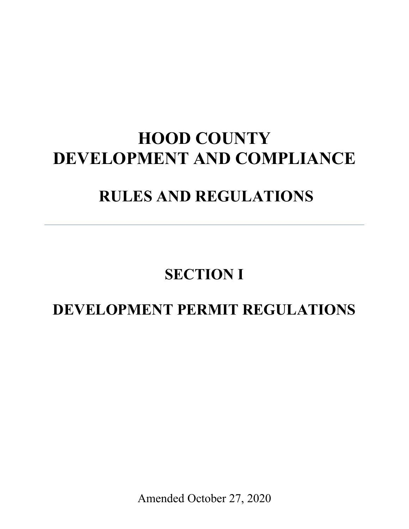# **HOOD COUNTY DEVELOPMENT AND COMPLIANCE**

# **RULES AND REGULATIONS**

## **SECTION I**

## **DEVELOPMENT PERMIT REGULATIONS**

Amended October 27, 2020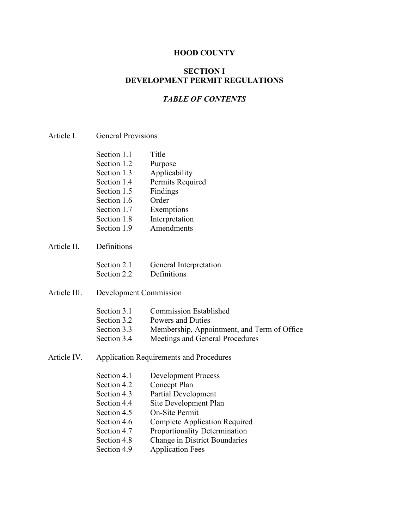#### **HOOD COUNTY**

#### **SECTION I DEVELOPMENT PERMIT REGULATIONS**

#### *TABLE OF CONTENTS*

| Section 1.1 | Title            |
|-------------|------------------|
| Section 1.2 | Purpose          |
| Section 1.3 | Applicability    |
| Section 1.4 | Permits Required |
| Section 1.5 | Findings         |
| Section 1.6 | Order            |
| Section 1.7 | Exemptions       |
| Section 1.8 | Interpretation   |
| Section 1.9 | Amendments       |
|             |                  |

Article II. Definitions

| Section 2.1 | General Interpretation |
|-------------|------------------------|
| Section 2.2 | Definitions            |

Article III. Development Commission

| Section 3.1 | <b>Commission Established</b>               |
|-------------|---------------------------------------------|
| Section 3.2 | Powers and Duties                           |
| Section 3.3 | Membership, Appointment, and Term of Office |
| Section 3.4 | Meetings and General Procedures             |

Article IV. Application Requirements and Procedures

| Section 4.1 | <b>Development Process</b>           |
|-------------|--------------------------------------|
| Section 4.2 | Concept Plan                         |
| Section 4.3 | <b>Partial Development</b>           |
| Section 4.4 | Site Development Plan                |
| Section 4.5 | On-Site Permit                       |
| Section 4.6 | <b>Complete Application Required</b> |
| Section 4.7 | Proportionality Determination        |
| Section 4.8 | <b>Change in District Boundaries</b> |
| Section 4.9 | <b>Application Fees</b>              |
|             |                                      |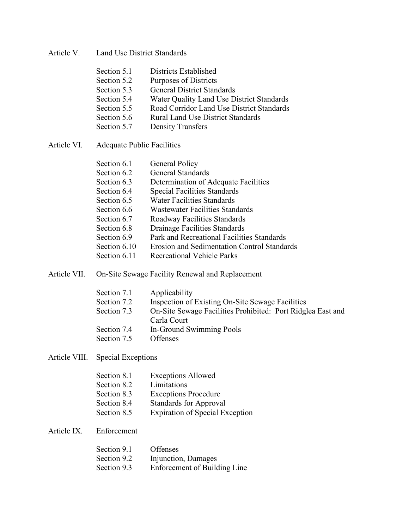Article V. Land Use District Standards

| Section 5.1 | Districts Established                     |
|-------------|-------------------------------------------|
| Section 5.2 | Purposes of Districts                     |
| Section 5.3 | <b>General District Standards</b>         |
| Section 5.4 | Water Quality Land Use District Standards |
| Section 5.5 | Road Corridor Land Use District Standards |
| Section 5.6 | <b>Rural Land Use District Standards</b>  |

- Rural Land Use District Standards
- Section 5.7 Density Transfers
- Article VI. Adequate Public Facilities

| Section 6.1  | General Policy                                     |
|--------------|----------------------------------------------------|
| Section 6.2  | General Standards                                  |
| Section 6.3  | Determination of Adequate Facilities               |
| Section 6.4  | <b>Special Facilities Standards</b>                |
| Section 6.5  | <b>Water Facilities Standards</b>                  |
| Section 6.6  | <b>Wastewater Facilities Standards</b>             |
| Section 6.7  | Roadway Facilities Standards                       |
| Section 6.8  | Drainage Facilities Standards                      |
| Section 6.9  | Park and Recreational Facilities Standards         |
| Section 6.10 | <b>Erosion and Sedimentation Control Standards</b> |
| Section 6.11 | Recreational Vehicle Parks                         |
|              |                                                    |

Article VII. On-Site Sewage Facility Renewal and Replacement

| Applicability                                                              |
|----------------------------------------------------------------------------|
| Inspection of Existing On-Site Sewage Facilities                           |
| On-Site Sewage Facilities Prohibited: Port Ridglea East and<br>Carla Court |
| In-Ground Swimming Pools                                                   |
| <b>Offenses</b>                                                            |
|                                                                            |

Article VIII. Special Exceptions

| Section 8.1 | <b>Exceptions Allowed</b>              |
|-------------|----------------------------------------|
| Section 8.2 | Limitations                            |
| Section 8.3 | <b>Exceptions Procedure</b>            |
| Section 8.4 | <b>Standards for Approval</b>          |
| Section 8.5 | <b>Expiration of Special Exception</b> |

#### Article IX. Enforcement

| Section 9.1 | <b>Offenses</b>              |
|-------------|------------------------------|
| Section 9.2 | Injunction, Damages          |
| Section 9.3 | Enforcement of Building Line |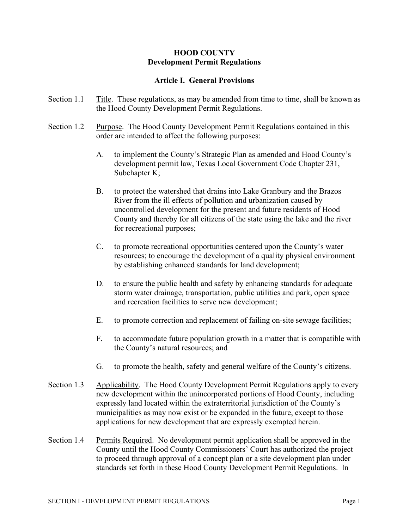#### **HOOD COUNTY Development Permit Regulations**

#### **Article I. General Provisions**

- Section 1.1 Title. These regulations, as may be amended from time to time, shall be known as the Hood County Development Permit Regulations.
- Section 1.2 Purpose. The Hood County Development Permit Regulations contained in this order are intended to affect the following purposes:
	- A. to implement the County's Strategic Plan as amended and Hood County's development permit law, Texas Local Government Code Chapter 231, Subchapter K;
	- B. to protect the watershed that drains into Lake Granbury and the Brazos River from the ill effects of pollution and urbanization caused by uncontrolled development for the present and future residents of Hood County and thereby for all citizens of the state using the lake and the river for recreational purposes;
	- C. to promote recreational opportunities centered upon the County's water resources; to encourage the development of a quality physical environment by establishing enhanced standards for land development;
	- D. to ensure the public health and safety by enhancing standards for adequate storm water drainage, transportation, public utilities and park, open space and recreation facilities to serve new development;
	- E. to promote correction and replacement of failing on-site sewage facilities;
	- F. to accommodate future population growth in a matter that is compatible with the County's natural resources; and
	- G. to promote the health, safety and general welfare of the County's citizens.
- Section 1.3 Applicability. The Hood County Development Permit Regulations apply to every new development within the unincorporated portions of Hood County, including expressly land located within the extraterritorial jurisdiction of the County's municipalities as may now exist or be expanded in the future, except to those applications for new development that are expressly exempted herein.
- Section 1.4 Permits Required. No development permit application shall be approved in the County until the Hood County Commissioners' Court has authorized the project to proceed through approval of a concept plan or a site development plan under standards set forth in these Hood County Development Permit Regulations. In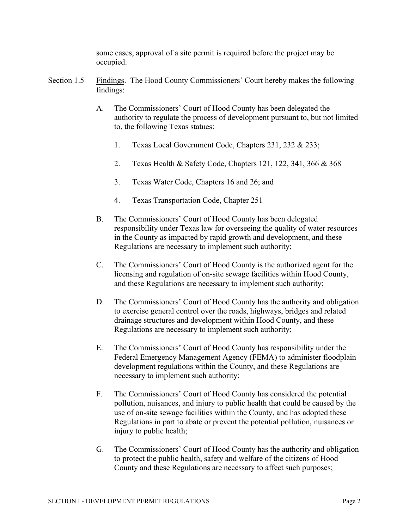some cases, approval of a site permit is required before the project may be occupied.

- Section 1.5 Findings. The Hood County Commissioners' Court hereby makes the following findings:
	- A. The Commissioners' Court of Hood County has been delegated the authority to regulate the process of development pursuant to, but not limited to, the following Texas statues:
		- 1. Texas Local Government Code, Chapters 231, 232 & 233;
		- 2. Texas Health & Safety Code, Chapters 121, 122, 341, 366 & 368
		- 3. Texas Water Code, Chapters 16 and 26; and
		- 4. Texas Transportation Code, Chapter 251
	- B. The Commissioners' Court of Hood County has been delegated responsibility under Texas law for overseeing the quality of water resources in the County as impacted by rapid growth and development, and these Regulations are necessary to implement such authority;
	- C. The Commissioners' Court of Hood County is the authorized agent for the licensing and regulation of on-site sewage facilities within Hood County, and these Regulations are necessary to implement such authority;
	- D. The Commissioners' Court of Hood County has the authority and obligation to exercise general control over the roads, highways, bridges and related drainage structures and development within Hood County, and these Regulations are necessary to implement such authority;
	- E. The Commissioners' Court of Hood County has responsibility under the Federal Emergency Management Agency (FEMA) to administer floodplain development regulations within the County, and these Regulations are necessary to implement such authority;
	- F. The Commissioners' Court of Hood County has considered the potential pollution, nuisances, and injury to public health that could be caused by the use of on-site sewage facilities within the County, and has adopted these Regulations in part to abate or prevent the potential pollution, nuisances or injury to public health;
	- G. The Commissioners' Court of Hood County has the authority and obligation to protect the public health, safety and welfare of the citizens of Hood County and these Regulations are necessary to affect such purposes;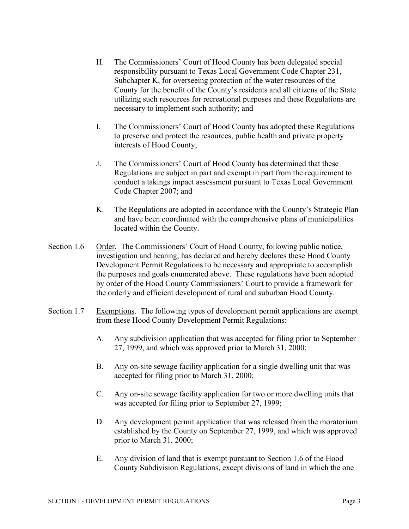- H. The Commissioners' Court of Hood County has been delegated special responsibility pursuant to Texas Local Government Code Chapter 231, Subchapter K, for overseeing protection of the water resources of the County for the benefit of the County's residents and all citizens of the State utilizing such resources for recreational purposes and these Regulations are necessary to implement such authority; and
- I. The Commissioners' Court of Hood County has adopted these Regulations to preserve and protect the resources, public health and private property interests of Hood County;
- J. The Commissioners' Court of Hood County has determined that these Regulations are subject in part and exempt in part from the requirement to conduct a takings impact assessment pursuant to Texas Local Government Code Chapter 2007; and
- K. The Regulations are adopted in accordance with the County's Strategic Plan and have been coordinated with the comprehensive plans of municipalities located within the County.
- Section 1.6 Order. The Commissioners' Court of Hood County, following public notice, investigation and hearing, has declared and hereby declares these Hood County Development Permit Regulations to be necessary and appropriate to accomplish the purposes and goals enumerated above. These regulations have been adopted by order of the Hood County Commissioners' Court to provide a framework for the orderly and efficient development of rural and suburban Hood County.
- Section 1.7 Exemptions. The following types of development permit applications are exempt from these Hood County Development Permit Regulations:
	- A. Any subdivision application that was accepted for filing prior to September 27, 1999, and which was approved prior to March 31, 2000;
	- B. Any on-site sewage facility application for a single dwelling unit that was accepted for filing prior to March 31, 2000;
	- C. Any on-site sewage facility application for two or more dwelling units that was accepted for filing prior to September 27, 1999;
	- D. Any development permit application that was released from the moratorium established by the County on September 27, 1999, and which was approved prior to March 31, 2000;
	- E. Any division of land that is exempt pursuant to Section 1.6 of the Hood County Subdivision Regulations, except divisions of land in which the one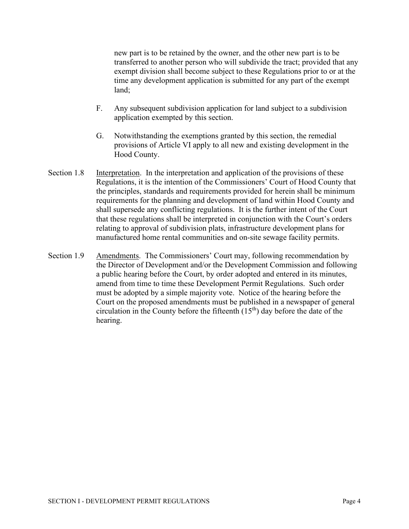new part is to be retained by the owner, and the other new part is to be transferred to another person who will subdivide the tract; provided that any exempt division shall become subject to these Regulations prior to or at the time any development application is submitted for any part of the exempt land;

- F. Any subsequent subdivision application for land subject to a subdivision application exempted by this section.
- G. Notwithstanding the exemptions granted by this section, the remedial provisions of Article VI apply to all new and existing development in the Hood County.
- Section 1.8 Interpretation. In the interpretation and application of the provisions of these Regulations, it is the intention of the Commissioners' Court of Hood County that the principles, standards and requirements provided for herein shall be minimum requirements for the planning and development of land within Hood County and shall supersede any conflicting regulations. It is the further intent of the Court that these regulations shall be interpreted in conjunction with the Court's orders relating to approval of subdivision plats, infrastructure development plans for manufactured home rental communities and on-site sewage facility permits.
- Section 1.9 Amendments. The Commissioners' Court may, following recommendation by the Director of Development and/or the Development Commission and following a public hearing before the Court, by order adopted and entered in its minutes, amend from time to time these Development Permit Regulations. Such order must be adopted by a simple majority vote. Notice of the hearing before the Court on the proposed amendments must be published in a newspaper of general circulation in the County before the fifteenth  $(15<sup>th</sup>)$  day before the date of the hearing.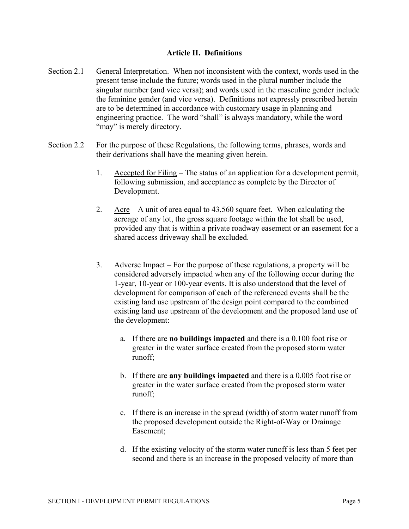#### **Article II. Definitions**

- Section 2.1 General Interpretation. When not inconsistent with the context, words used in the present tense include the future; words used in the plural number include the singular number (and vice versa); and words used in the masculine gender include the feminine gender (and vice versa). Definitions not expressly prescribed herein are to be determined in accordance with customary usage in planning and engineering practice. The word "shall" is always mandatory, while the word "may" is merely directory.
- Section 2.2 For the purpose of these Regulations, the following terms, phrases, words and their derivations shall have the meaning given herein.
	- 1. Accepted for Filing The status of an application for a development permit, following submission, and acceptance as complete by the Director of Development.
	- 2. Acre A unit of area equal to 43,560 square feet. When calculating the acreage of any lot, the gross square footage within the lot shall be used, provided any that is within a private roadway easement or an easement for a shared access driveway shall be excluded.
	- 3. Adverse Impact For the purpose of these regulations, a property will be considered adversely impacted when any of the following occur during the 1-year, 10-year or 100-year events. It is also understood that the level of development for comparison of each of the referenced events shall be the existing land use upstream of the design point compared to the combined existing land use upstream of the development and the proposed land use of the development:
		- a. If there are **no buildings impacted** and there is a 0.100 foot rise or greater in the water surface created from the proposed storm water runoff;
		- b. If there are **any buildings impacted** and there is a 0.005 foot rise or greater in the water surface created from the proposed storm water runoff;
		- c. If there is an increase in the spread (width) of storm water runoff from the proposed development outside the Right-of-Way or Drainage Easement;
		- d. If the existing velocity of the storm water runoff is less than 5 feet per second and there is an increase in the proposed velocity of more than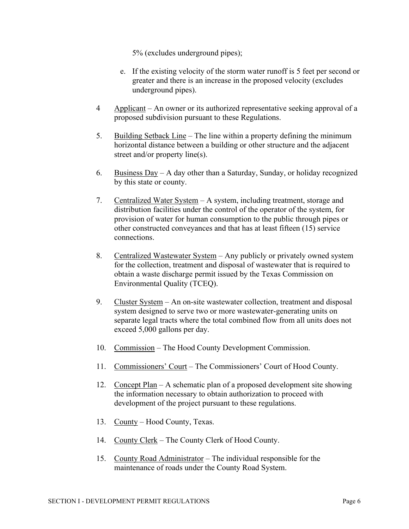5% (excludes underground pipes);

- e. If the existing velocity of the storm water runoff is 5 feet per second or greater and there is an increase in the proposed velocity (excludes underground pipes).
- 4 Applicant An owner or its authorized representative seeking approval of a proposed subdivision pursuant to these Regulations.
- 5. Building Setback Line The line within a property defining the minimum horizontal distance between a building or other structure and the adjacent street and/or property line(s).
- 6. Business Day A day other than a Saturday, Sunday, or holiday recognized by this state or county.
- 7. Centralized Water System A system, including treatment, storage and distribution facilities under the control of the operator of the system, for provision of water for human consumption to the public through pipes or other constructed conveyances and that has at least fifteen (15) service connections.
- 8. Centralized Wastewater System Any publicly or privately owned system for the collection, treatment and disposal of wastewater that is required to obtain a waste discharge permit issued by the Texas Commission on Environmental Quality (TCEQ).
- 9. Cluster System An on-site wastewater collection, treatment and disposal system designed to serve two or more wastewater-generating units on separate legal tracts where the total combined flow from all units does not exceed 5,000 gallons per day.
- 10. Commission The Hood County Development Commission.
- 11. Commissioners' Court The Commissioners' Court of Hood County.
- 12. Concept Plan A schematic plan of a proposed development site showing the information necessary to obtain authorization to proceed with development of the project pursuant to these regulations.
- 13. County Hood County, Texas.
- 14. County Clerk The County Clerk of Hood County.
- 15. County Road Administrator The individual responsible for the maintenance of roads under the County Road System.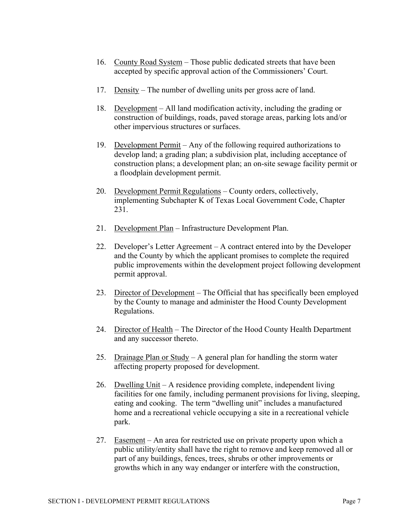- 16. County Road System Those public dedicated streets that have been accepted by specific approval action of the Commissioners' Court.
- 17. Density The number of dwelling units per gross acre of land.
- 18. Development All land modification activity, including the grading or construction of buildings, roads, paved storage areas, parking lots and/or other impervious structures or surfaces.
- 19. Development Permit Any of the following required authorizations to develop land; a grading plan; a subdivision plat, including acceptance of construction plans; a development plan; an on-site sewage facility permit or a floodplain development permit.
- 20. Development Permit Regulations County orders, collectively, implementing Subchapter K of Texas Local Government Code, Chapter 231.
- 21. Development Plan Infrastructure Development Plan.
- 22. Developer's Letter Agreement A contract entered into by the Developer and the County by which the applicant promises to complete the required public improvements within the development project following development permit approval.
- 23. Director of Development The Official that has specifically been employed by the County to manage and administer the Hood County Development Regulations.
- 24. Director of Health The Director of the Hood County Health Department and any successor thereto.
- 25. Drainage Plan or Study A general plan for handling the storm water affecting property proposed for development.
- 26. Dwelling Unit A residence providing complete, independent living facilities for one family, including permanent provisions for living, sleeping, eating and cooking. The term "dwelling unit" includes a manufactured home and a recreational vehicle occupying a site in a recreational vehicle park.
- 27. Easement An area for restricted use on private property upon which a public utility/entity shall have the right to remove and keep removed all or part of any buildings, fences, trees, shrubs or other improvements or growths which in any way endanger or interfere with the construction,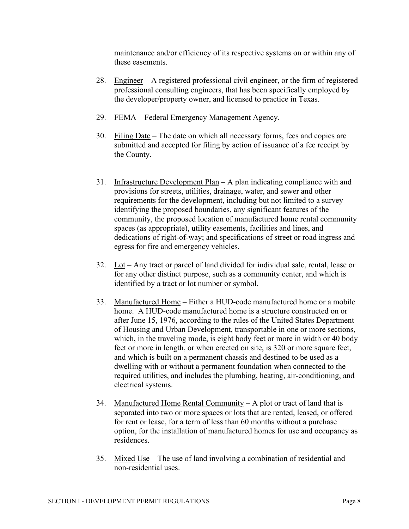maintenance and/or efficiency of its respective systems on or within any of these easements.

- 28. Engineer A registered professional civil engineer, or the firm of registered professional consulting engineers, that has been specifically employed by the developer/property owner, and licensed to practice in Texas.
- 29. FEMA Federal Emergency Management Agency.
- 30. Filing Date The date on which all necessary forms, fees and copies are submitted and accepted for filing by action of issuance of a fee receipt by the County.
- 31. Infrastructure Development Plan A plan indicating compliance with and provisions for streets, utilities, drainage, water, and sewer and other requirements for the development, including but not limited to a survey identifying the proposed boundaries, any significant features of the community, the proposed location of manufactured home rental community spaces (as appropriate), utility easements, facilities and lines, and dedications of right-of-way; and specifications of street or road ingress and egress for fire and emergency vehicles.
- 32. Lot Any tract or parcel of land divided for individual sale, rental, lease or for any other distinct purpose, such as a community center, and which is identified by a tract or lot number or symbol.
- 33. Manufactured Home Either a HUD-code manufactured home or a mobile home. A HUD-code manufactured home is a structure constructed on or after June 15, 1976, according to the rules of the United States Department of Housing and Urban Development, transportable in one or more sections, which, in the traveling mode, is eight body feet or more in width or 40 body feet or more in length, or when erected on site, is 320 or more square feet, and which is built on a permanent chassis and destined to be used as a dwelling with or without a permanent foundation when connected to the required utilities, and includes the plumbing, heating, air-conditioning, and electrical systems.
- 34. Manufactured Home Rental Community A plot or tract of land that is separated into two or more spaces or lots that are rented, leased, or offered for rent or lease, for a term of less than 60 months without a purchase option, for the installation of manufactured homes for use and occupancy as residences.
- 35. Mixed Use The use of land involving a combination of residential and non-residential uses.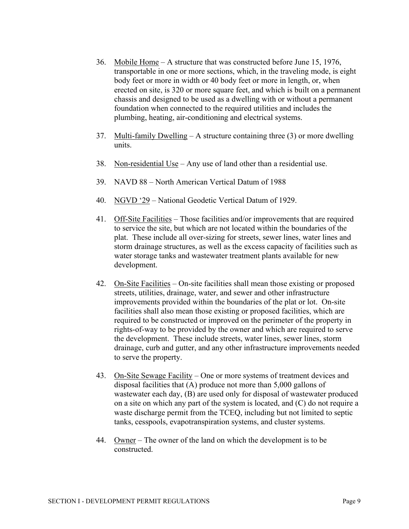- 36. Mobile Home A structure that was constructed before June 15, 1976, transportable in one or more sections, which, in the traveling mode, is eight body feet or more in width or 40 body feet or more in length, or, when erected on site, is 320 or more square feet, and which is built on a permanent chassis and designed to be used as a dwelling with or without a permanent foundation when connected to the required utilities and includes the plumbing, heating, air-conditioning and electrical systems.
- 37. Multi-family Dwelling  $-A$  structure containing three (3) or more dwelling units.
- 38. Non-residential Use Any use of land other than a residential use.
- 39. NAVD 88 North American Vertical Datum of 1988
- 40. NGVD '29 National Geodetic Vertical Datum of 1929.
- 41. Off-Site Facilities Those facilities and/or improvements that are required to service the site, but which are not located within the boundaries of the plat. These include all over-sizing for streets, sewer lines, water lines and storm drainage structures, as well as the excess capacity of facilities such as water storage tanks and wastewater treatment plants available for new development.
- 42. On-Site Facilities On-site facilities shall mean those existing or proposed streets, utilities, drainage, water, and sewer and other infrastructure improvements provided within the boundaries of the plat or lot. On-site facilities shall also mean those existing or proposed facilities, which are required to be constructed or improved on the perimeter of the property in rights-of-way to be provided by the owner and which are required to serve the development. These include streets, water lines, sewer lines, storm drainage, curb and gutter, and any other infrastructure improvements needed to serve the property.
- 43. On-Site Sewage Facility One or more systems of treatment devices and disposal facilities that (A) produce not more than 5,000 gallons of wastewater each day, (B) are used only for disposal of wastewater produced on a site on which any part of the system is located, and (C) do not require a waste discharge permit from the TCEQ, including but not limited to septic tanks, cesspools, evapotranspiration systems, and cluster systems.
- 44. Owner The owner of the land on which the development is to be constructed.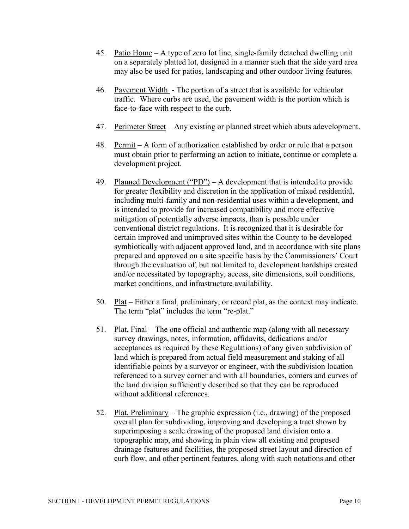- 45. Patio Home A type of zero lot line, single-family detached dwelling unit on a separately platted lot, designed in a manner such that the side yard area may also be used for patios, landscaping and other outdoor living features.
- 46. Pavement Width The portion of a street that is available for vehicular traffic. Where curbs are used, the pavement width is the portion which is face-to-face with respect to the curb.
- 47. Perimeter Street Any existing or planned street which abuts adevelopment.
- 48. Permit A form of authorization established by order or rule that a person must obtain prior to performing an action to initiate, continue or complete a development project.
- 49. Planned Development ("PD") A development that is intended to provide for greater flexibility and discretion in the application of mixed residential, including multi-family and non-residential uses within a development, and is intended to provide for increased compatibility and more effective mitigation of potentially adverse impacts, than is possible under conventional district regulations. It is recognized that it is desirable for certain improved and unimproved sites within the County to be developed symbiotically with adjacent approved land, and in accordance with site plans prepared and approved on a site specific basis by the Commissioners' Court through the evaluation of, but not limited to, development hardships created and/or necessitated by topography, access, site dimensions, soil conditions, market conditions, and infrastructure availability.
- 50. Plat Either a final, preliminary, or record plat, as the context may indicate. The term "plat" includes the term "re-plat."
- 51. Plat, Final The one official and authentic map (along with all necessary survey drawings, notes, information, affidavits, dedications and/or acceptances as required by these Regulations) of any given subdivision of land which is prepared from actual field measurement and staking of all identifiable points by a surveyor or engineer, with the subdivision location referenced to a survey corner and with all boundaries, corners and curves of the land division sufficiently described so that they can be reproduced without additional references.
- 52. Plat, Preliminary The graphic expression (i.e., drawing) of the proposed overall plan for subdividing, improving and developing a tract shown by superimposing a scale drawing of the proposed land division onto a topographic map, and showing in plain view all existing and proposed drainage features and facilities, the proposed street layout and direction of curb flow, and other pertinent features, along with such notations and other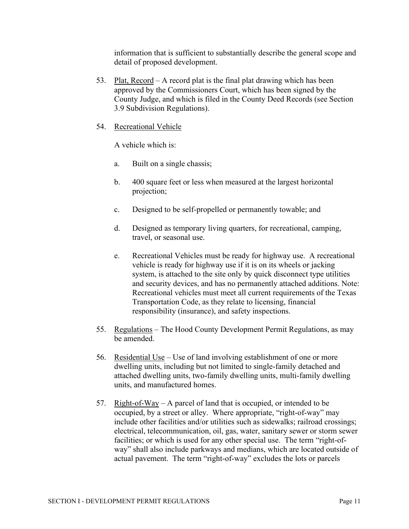information that is sufficient to substantially describe the general scope and detail of proposed development.

- 53. Plat, Record A record plat is the final plat drawing which has been approved by the Commissioners Court, which has been signed by the County Judge, and which is filed in the County Deed Records (see Section 3.9 Subdivision Regulations).
- 54. Recreational Vehicle

A vehicle which is:

- a. Built on a single chassis;
- b. 400 square feet or less when measured at the largest horizontal projection;
- c. Designed to be self-propelled or permanently towable; and
- d. Designed as temporary living quarters, for recreational, camping, travel, or seasonal use.
- e. Recreational Vehicles must be ready for highway use. A recreational vehicle is ready for highway use if it is on its wheels or jacking system, is attached to the site only by quick disconnect type utilities and security devices, and has no permanently attached additions. Note: Recreational vehicles must meet all current requirements of the Texas Transportation Code, as they relate to licensing, financial responsibility (insurance), and safety inspections.
- 55. Regulations The Hood County Development Permit Regulations, as may be amended.
- 56. Residential Use Use of land involving establishment of one or more dwelling units, including but not limited to single-family detached and attached dwelling units, two-family dwelling units, multi-family dwelling units, and manufactured homes.
- 57. Right-of-Way A parcel of land that is occupied, or intended to be occupied, by a street or alley. Where appropriate, "right-of-way" may include other facilities and/or utilities such as sidewalks; railroad crossings; electrical, telecommunication, oil, gas, water, sanitary sewer or storm sewer facilities; or which is used for any other special use. The term "right-ofway" shall also include parkways and medians, which are located outside of actual pavement. The term "right-of-way" excludes the lots or parcels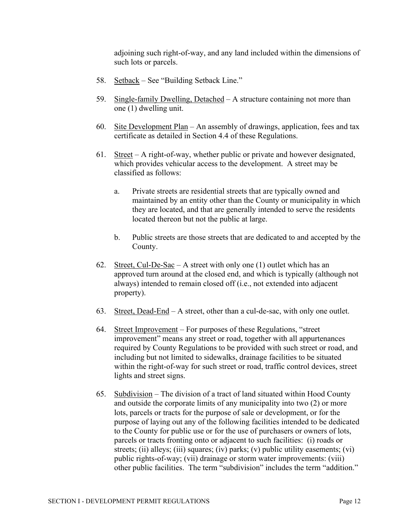adjoining such right-of-way, and any land included within the dimensions of such lots or parcels.

- 58. Setback See "Building Setback Line."
- 59. Single-family Dwelling, Detached A structure containing not more than one (1) dwelling unit.
- 60. Site Development Plan An assembly of drawings, application, fees and tax certificate as detailed in Section 4.4 of these Regulations.
- 61. Street A right-of-way, whether public or private and however designated, which provides vehicular access to the development. A street may be classified as follows:
	- a. Private streets are residential streets that are typically owned and maintained by an entity other than the County or municipality in which they are located, and that are generally intended to serve the residents located thereon but not the public at large.
	- b. Public streets are those streets that are dedicated to and accepted by the County.
- 62. Street, Cul-De-Sac A street with only one  $(1)$  outlet which has an approved turn around at the closed end, and which is typically (although not always) intended to remain closed off (i.e., not extended into adjacent property).
- 63. Street, Dead-End A street, other than a cul-de-sac, with only one outlet.
- 64. Street Improvement For purposes of these Regulations, "street improvement" means any street or road, together with all appurtenances required by County Regulations to be provided with such street or road, and including but not limited to sidewalks, drainage facilities to be situated within the right-of-way for such street or road, traffic control devices, street lights and street signs.
- 65. Subdivision The division of a tract of land situated within Hood County and outside the corporate limits of any municipality into two (2) or more lots, parcels or tracts for the purpose of sale or development, or for the purpose of laying out any of the following facilities intended to be dedicated to the County for public use or for the use of purchasers or owners of lots, parcels or tracts fronting onto or adjacent to such facilities: (i) roads or streets; (ii) alleys; (iii) squares; (iv) parks; (v) public utility easements; (vi) public rights-of-way; (vii) drainage or storm water improvements: (viii) other public facilities. The term "subdivision" includes the term "addition."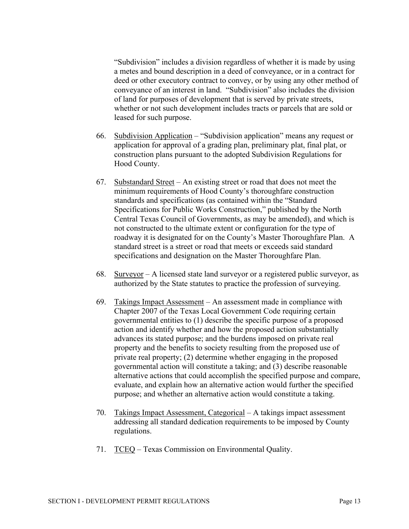"Subdivision" includes a division regardless of whether it is made by using a metes and bound description in a deed of conveyance, or in a contract for deed or other executory contract to convey, or by using any other method of conveyance of an interest in land. "Subdivision" also includes the division of land for purposes of development that is served by private streets, whether or not such development includes tracts or parcels that are sold or leased for such purpose.

- 66. Subdivision Application "Subdivision application" means any request or application for approval of a grading plan, preliminary plat, final plat, or construction plans pursuant to the adopted Subdivision Regulations for Hood County.
- 67. Substandard Street An existing street or road that does not meet the minimum requirements of Hood County's thoroughfare construction standards and specifications (as contained within the "Standard Specifications for Public Works Construction," published by the North Central Texas Council of Governments, as may be amended), and which is not constructed to the ultimate extent or configuration for the type of roadway it is designated for on the County's Master Thoroughfare Plan. A standard street is a street or road that meets or exceeds said standard specifications and designation on the Master Thoroughfare Plan.
- 68. Surveyor A licensed state land surveyor or a registered public surveyor, as authorized by the State statutes to practice the profession of surveying.
- 69. Takings Impact Assessment An assessment made in compliance with Chapter 2007 of the Texas Local Government Code requiring certain governmental entities to (1) describe the specific purpose of a proposed action and identify whether and how the proposed action substantially advances its stated purpose; and the burdens imposed on private real property and the benefits to society resulting from the proposed use of private real property; (2) determine whether engaging in the proposed governmental action will constitute a taking; and (3) describe reasonable alternative actions that could accomplish the specified purpose and compare, evaluate, and explain how an alternative action would further the specified purpose; and whether an alternative action would constitute a taking.
- 70. Takings Impact Assessment, Categorical A takings impact assessment addressing all standard dedication requirements to be imposed by County regulations.
- 71. TCEQ Texas Commission on Environmental Quality.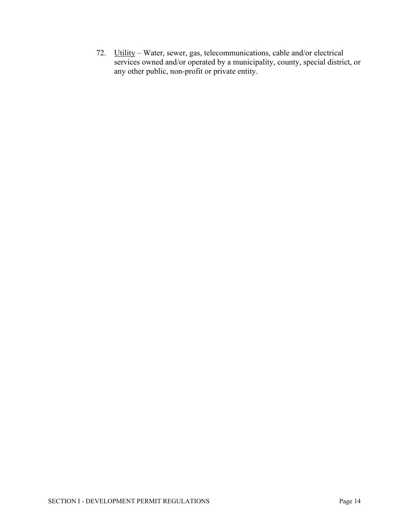72. Utility – Water, sewer, gas, telecommunications, cable and/or electrical services owned and/or operated by a municipality, county, special district, or any other public, non-profit or private entity.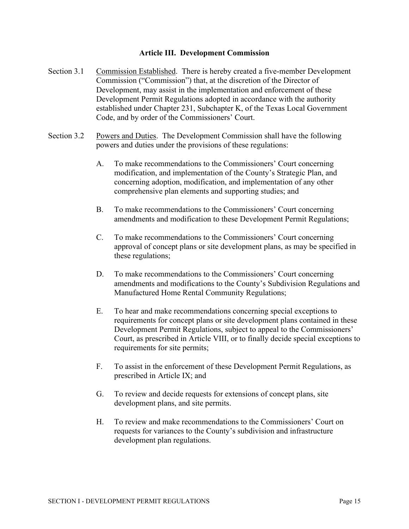#### **Article III. Development Commission**

- Section 3.1 Commission Established. There is hereby created a five-member Development Commission ("Commission") that, at the discretion of the Director of Development, may assist in the implementation and enforcement of these Development Permit Regulations adopted in accordance with the authority established under Chapter 231, Subchapter K, of the Texas Local Government Code, and by order of the Commissioners' Court.
- Section 3.2 Powers and Duties. The Development Commission shall have the following powers and duties under the provisions of these regulations:
	- A. To make recommendations to the Commissioners' Court concerning modification, and implementation of the County's Strategic Plan, and concerning adoption, modification, and implementation of any other comprehensive plan elements and supporting studies; and
	- B. To make recommendations to the Commissioners' Court concerning amendments and modification to these Development Permit Regulations;
	- C. To make recommendations to the Commissioners' Court concerning approval of concept plans or site development plans, as may be specified in these regulations;
	- D. To make recommendations to the Commissioners' Court concerning amendments and modifications to the County's Subdivision Regulations and Manufactured Home Rental Community Regulations;
	- E. To hear and make recommendations concerning special exceptions to requirements for concept plans or site development plans contained in these Development Permit Regulations, subject to appeal to the Commissioners' Court, as prescribed in Article VIII, or to finally decide special exceptions to requirements for site permits;
	- F. To assist in the enforcement of these Development Permit Regulations, as prescribed in Article IX; and
	- G. To review and decide requests for extensions of concept plans, site development plans, and site permits.
	- H. To review and make recommendations to the Commissioners' Court on requests for variances to the County's subdivision and infrastructure development plan regulations.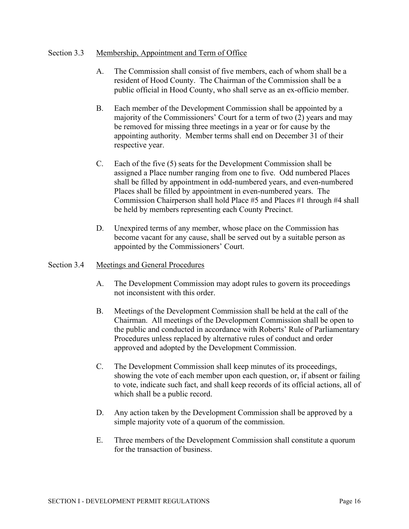#### Section 3.3 Membership, Appointment and Term of Office

- A. The Commission shall consist of five members, each of whom shall be a resident of Hood County. The Chairman of the Commission shall be a public official in Hood County, who shall serve as an ex-officio member.
- B. Each member of the Development Commission shall be appointed by a majority of the Commissioners' Court for a term of two (2) years and may be removed for missing three meetings in a year or for cause by the appointing authority. Member terms shall end on December 31 of their respective year.
- C. Each of the five (5) seats for the Development Commission shall be assigned a Place number ranging from one to five. Odd numbered Places shall be filled by appointment in odd-numbered years, and even-numbered Places shall be filled by appointment in even-numbered years. The Commission Chairperson shall hold Place #5 and Places #1 through #4 shall be held by members representing each County Precinct.
- D. Unexpired terms of any member, whose place on the Commission has become vacant for any cause, shall be served out by a suitable person as appointed by the Commissioners' Court.

#### Section 3.4 Meetings and General Procedures

- A. The Development Commission may adopt rules to govern its proceedings not inconsistent with this order.
- B. Meetings of the Development Commission shall be held at the call of the Chairman. All meetings of the Development Commission shall be open to the public and conducted in accordance with Roberts' Rule of Parliamentary Procedures unless replaced by alternative rules of conduct and order approved and adopted by the Development Commission.
- C. The Development Commission shall keep minutes of its proceedings, showing the vote of each member upon each question, or, if absent or failing to vote, indicate such fact, and shall keep records of its official actions, all of which shall be a public record.
- D. Any action taken by the Development Commission shall be approved by a simple majority vote of a quorum of the commission.
- E. Three members of the Development Commission shall constitute a quorum for the transaction of business.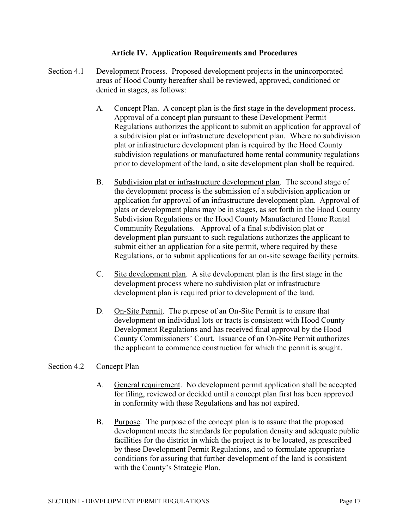#### **Article IV. Application Requirements and Procedures**

- Section 4.1 Development Process. Proposed development projects in the unincorporated areas of Hood County hereafter shall be reviewed, approved, conditioned or denied in stages, as follows:
	- A. Concept Plan. A concept plan is the first stage in the development process. Approval of a concept plan pursuant to these Development Permit Regulations authorizes the applicant to submit an application for approval of a subdivision plat or infrastructure development plan. Where no subdivision plat or infrastructure development plan is required by the Hood County subdivision regulations or manufactured home rental community regulations prior to development of the land, a site development plan shall be required.
	- B. Subdivision plat or infrastructure development plan. The second stage of the development process is the submission of a subdivision application or application for approval of an infrastructure development plan. Approval of plats or development plans may be in stages, as set forth in the Hood County Subdivision Regulations or the Hood County Manufactured Home Rental Community Regulations. Approval of a final subdivision plat or development plan pursuant to such regulations authorizes the applicant to submit either an application for a site permit, where required by these Regulations, or to submit applications for an on-site sewage facility permits.
	- C. Site development plan. A site development plan is the first stage in the development process where no subdivision plat or infrastructure development plan is required prior to development of the land.
	- D. On-Site Permit. The purpose of an On-Site Permit is to ensure that development on individual lots or tracts is consistent with Hood County Development Regulations and has received final approval by the Hood County Commissioners' Court. Issuance of an On-Site Permit authorizes the applicant to commence construction for which the permit is sought.

#### Section 4.2 Concept Plan

- A. General requirement. No development permit application shall be accepted for filing, reviewed or decided until a concept plan first has been approved in conformity with these Regulations and has not expired.
- B. Purpose. The purpose of the concept plan is to assure that the proposed development meets the standards for population density and adequate public facilities for the district in which the project is to be located, as prescribed by these Development Permit Regulations, and to formulate appropriate conditions for assuring that further development of the land is consistent with the County's Strategic Plan.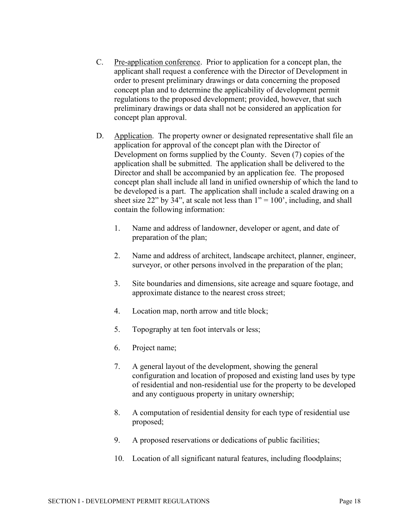- C. Pre-application conference. Prior to application for a concept plan, the applicant shall request a conference with the Director of Development in order to present preliminary drawings or data concerning the proposed concept plan and to determine the applicability of development permit regulations to the proposed development; provided, however, that such preliminary drawings or data shall not be considered an application for concept plan approval.
- D. Application. The property owner or designated representative shall file an application for approval of the concept plan with the Director of Development on forms supplied by the County. Seven (7) copies of the application shall be submitted. The application shall be delivered to the Director and shall be accompanied by an application fee. The proposed concept plan shall include all land in unified ownership of which the land to be developed is a part. The application shall include a scaled drawing on a sheet size 22" by 34", at scale not less than  $1" = 100"$ , including, and shall contain the following information:
	- 1. Name and address of landowner, developer or agent, and date of preparation of the plan;
	- 2. Name and address of architect, landscape architect, planner, engineer, surveyor, or other persons involved in the preparation of the plan;
	- 3. Site boundaries and dimensions, site acreage and square footage, and approximate distance to the nearest cross street;
	- 4. Location map, north arrow and title block;
	- 5. Topography at ten foot intervals or less;
	- 6. Project name;
	- 7. A general layout of the development, showing the general configuration and location of proposed and existing land uses by type of residential and non-residential use for the property to be developed and any contiguous property in unitary ownership;
	- 8. A computation of residential density for each type of residential use proposed;
	- 9. A proposed reservations or dedications of public facilities;
	- 10. Location of all significant natural features, including floodplains;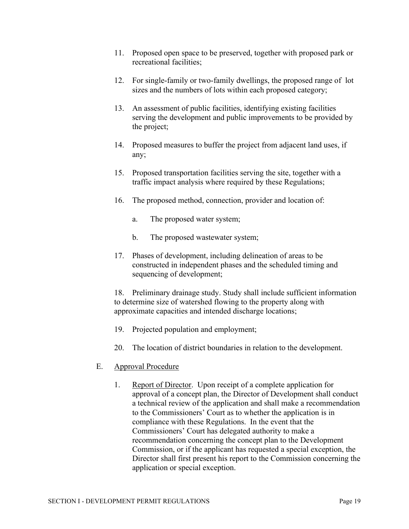- 11. Proposed open space to be preserved, together with proposed park or recreational facilities;
- 12. For single-family or two-family dwellings, the proposed range of lot sizes and the numbers of lots within each proposed category;
- 13. An assessment of public facilities, identifying existing facilities serving the development and public improvements to be provided by the project;
- 14. Proposed measures to buffer the project from adjacent land uses, if any;
- 15. Proposed transportation facilities serving the site, together with a traffic impact analysis where required by these Regulations;
- 16. The proposed method, connection, provider and location of:
	- a. The proposed water system;
	- b. The proposed wastewater system;
- 17. Phases of development, including delineation of areas to be constructed in independent phases and the scheduled timing and sequencing of development;

18. Preliminary drainage study. Study shall include sufficient information to determine size of watershed flowing to the property along with approximate capacities and intended discharge locations;

- 19. Projected population and employment;
- 20. The location of district boundaries in relation to the development.
- E. Approval Procedure
	- 1. Report of Director. Upon receipt of a complete application for approval of a concept plan, the Director of Development shall conduct a technical review of the application and shall make a recommendation to the Commissioners' Court as to whether the application is in compliance with these Regulations. In the event that the Commissioners' Court has delegated authority to make a recommendation concerning the concept plan to the Development Commission, or if the applicant has requested a special exception, the Director shall first present his report to the Commission concerning the application or special exception.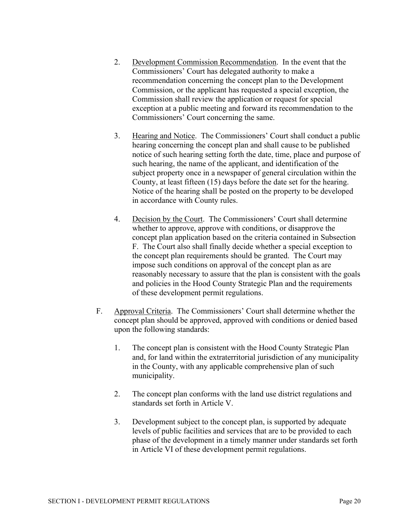- 2. Development Commission Recommendation. In the event that the Commissioners' Court has delegated authority to make a recommendation concerning the concept plan to the Development Commission, or the applicant has requested a special exception, the Commission shall review the application or request for special exception at a public meeting and forward its recommendation to the Commissioners' Court concerning the same.
- 3. Hearing and Notice. The Commissioners' Court shall conduct a public hearing concerning the concept plan and shall cause to be published notice of such hearing setting forth the date, time, place and purpose of such hearing, the name of the applicant, and identification of the subject property once in a newspaper of general circulation within the County, at least fifteen (15) days before the date set for the hearing. Notice of the hearing shall be posted on the property to be developed in accordance with County rules.
- 4. Decision by the Court. The Commissioners' Court shall determine whether to approve, approve with conditions, or disapprove the concept plan application based on the criteria contained in Subsection F. The Court also shall finally decide whether a special exception to the concept plan requirements should be granted. The Court may impose such conditions on approval of the concept plan as are reasonably necessary to assure that the plan is consistent with the goals and policies in the Hood County Strategic Plan and the requirements of these development permit regulations.
- F. Approval Criteria. The Commissioners' Court shall determine whether the concept plan should be approved, approved with conditions or denied based upon the following standards:
	- 1. The concept plan is consistent with the Hood County Strategic Plan and, for land within the extraterritorial jurisdiction of any municipality in the County, with any applicable comprehensive plan of such municipality.
	- 2. The concept plan conforms with the land use district regulations and standards set forth in Article V.
	- 3. Development subject to the concept plan, is supported by adequate levels of public facilities and services that are to be provided to each phase of the development in a timely manner under standards set forth in Article VI of these development permit regulations.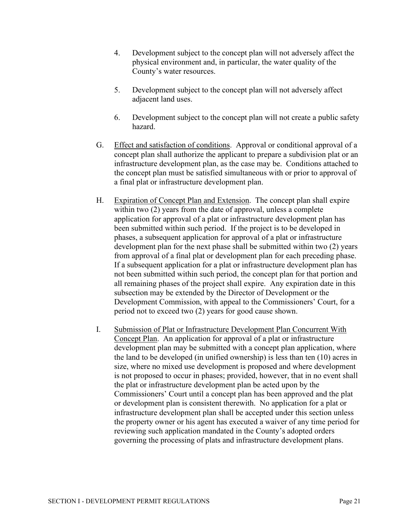- 4. Development subject to the concept plan will not adversely affect the physical environment and, in particular, the water quality of the County's water resources.
- 5. Development subject to the concept plan will not adversely affect adjacent land uses.
- 6. Development subject to the concept plan will not create a public safety hazard.
- G. Effect and satisfaction of conditions. Approval or conditional approval of a concept plan shall authorize the applicant to prepare a subdivision plat or an infrastructure development plan, as the case may be. Conditions attached to the concept plan must be satisfied simultaneous with or prior to approval of a final plat or infrastructure development plan.
- H. Expiration of Concept Plan and Extension. The concept plan shall expire within two (2) years from the date of approval, unless a complete application for approval of a plat or infrastructure development plan has been submitted within such period. If the project is to be developed in phases, a subsequent application for approval of a plat or infrastructure development plan for the next phase shall be submitted within two (2) years from approval of a final plat or development plan for each preceding phase. If a subsequent application for a plat or infrastructure development plan has not been submitted within such period, the concept plan for that portion and all remaining phases of the project shall expire. Any expiration date in this subsection may be extended by the Director of Development or the Development Commission, with appeal to the Commissioners' Court, for a period not to exceed two (2) years for good cause shown.
- I. Submission of Plat or Infrastructure Development Plan Concurrent With Concept Plan. An application for approval of a plat or infrastructure development plan may be submitted with a concept plan application, where the land to be developed (in unified ownership) is less than ten (10) acres in size, where no mixed use development is proposed and where development is not proposed to occur in phases; provided, however, that in no event shall the plat or infrastructure development plan be acted upon by the Commissioners' Court until a concept plan has been approved and the plat or development plan is consistent therewith. No application for a plat or infrastructure development plan shall be accepted under this section unless the property owner or his agent has executed a waiver of any time period for reviewing such application mandated in the County's adopted orders governing the processing of plats and infrastructure development plans.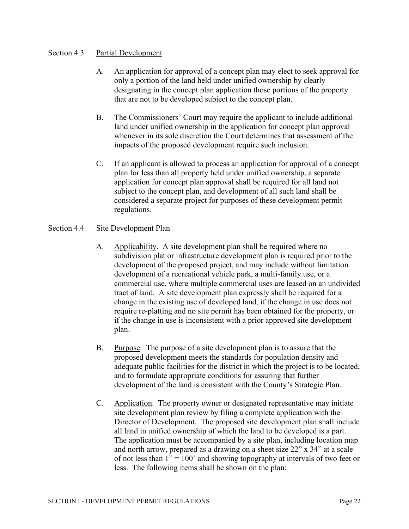#### Section 4.3 Partial Development

- A. An application for approval of a concept plan may elect to seek approval for only a portion of the land held under unified ownership by clearly designating in the concept plan application those portions of the property that are not to be developed subject to the concept plan.
- B. The Commissioners' Court may require the applicant to include additional land under unified ownership in the application for concept plan approval whenever in its sole discretion the Court determines that assessment of the impacts of the proposed development require such inclusion.
- C. If an applicant is allowed to process an application for approval of a concept plan for less than all property held under unified ownership, a separate application for concept plan approval shall be required for all land not subject to the concept plan, and development of all such land shall be considered a separate project for purposes of these development permit regulations.

#### Section 4.4 Site Development Plan

- A. Applicability. A site development plan shall be required where no subdivision plat or infrastructure development plan is required prior to the development of the proposed project, and may include without limitation development of a recreational vehicle park, a multi-family use, or a commercial use, where multiple commercial uses are leased on an undivided tract of land. A site development plan expressly shall be required for a change in the existing use of developed land, if the change in use does not require re-platting and no site permit has been obtained for the property, or if the change in use is inconsistent with a prior approved site development plan.
- B. Purpose. The purpose of a site development plan is to assure that the proposed development meets the standards for population density and adequate public facilities for the district in which the project is to be located, and to formulate appropriate conditions for assuring that further development of the land is consistent with the County's Strategic Plan.
- C. Application. The property owner or designated representative may initiate site development plan review by filing a complete application with the Director of Development. The proposed site development plan shall include all land in unified ownership of which the land to be developed is a part. The application must be accompanied by a site plan, including location map and north arrow, prepared as a drawing on a sheet size 22" x 34" at a scale of not less than  $1" = 100"$  and showing topography at intervals of two feet or less. The following items shall be shown on the plan: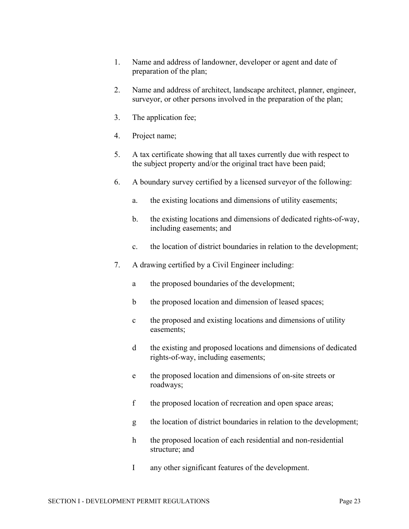- 1. Name and address of landowner, developer or agent and date of preparation of the plan;
- 2. Name and address of architect, landscape architect, planner, engineer, surveyor, or other persons involved in the preparation of the plan;
- 3. The application fee;
- 4. Project name;
- 5. A tax certificate showing that all taxes currently due with respect to the subject property and/or the original tract have been paid;
- 6. A boundary survey certified by a licensed surveyor of the following:
	- a. the existing locations and dimensions of utility easements;
	- b. the existing locations and dimensions of dedicated rights-of-way, including easements; and
	- c. the location of district boundaries in relation to the development;
- 7. A drawing certified by a Civil Engineer including:
	- a the proposed boundaries of the development;
	- b the proposed location and dimension of leased spaces;
	- c the proposed and existing locations and dimensions of utility easements;
	- d the existing and proposed locations and dimensions of dedicated rights-of-way, including easements;
	- e the proposed location and dimensions of on-site streets or roadways;
	- f the proposed location of recreation and open space areas;
	- g the location of district boundaries in relation to the development;
	- h the proposed location of each residential and non-residential structure; and
	- I any other significant features of the development.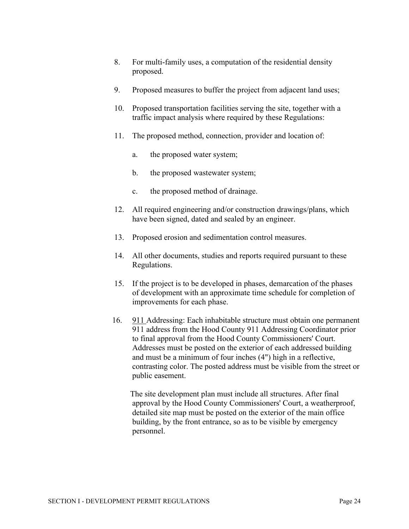- 8. For multi-family uses, a computation of the residential density proposed.
- 9. Proposed measures to buffer the project from adjacent land uses;
- 10. Proposed transportation facilities serving the site, together with a traffic impact analysis where required by these Regulations:
- 11. The proposed method, connection, provider and location of:
	- a. the proposed water system;
	- b. the proposed wastewater system;
	- c. the proposed method of drainage.
- 12. All required engineering and/or construction drawings/plans, which have been signed, dated and sealed by an engineer.
- 13. Proposed erosion and sedimentation control measures.
- 14. All other documents, studies and reports required pursuant to these Regulations.
- 15. If the project is to be developed in phases, demarcation of the phases of development with an approximate time schedule for completion of improvements for each phase.
- 16. 911 Addressing: Each inhabitable structure must obtain one permanent 911 address from the Hood County 911 Addressing Coordinator prior to final approval from the Hood County Commissioners' Court. Addresses must be posted on the exterior of each addressed building and must be a minimum of four inches (4") high in a reflective, contrasting color. The posted address must be visible from the street or public easement.

 The site development plan must include all structures. After final approval by the Hood County Commissioners' Court, a weatherproof, detailed site map must be posted on the exterior of the main office building, by the front entrance, so as to be visible by emergency personnel.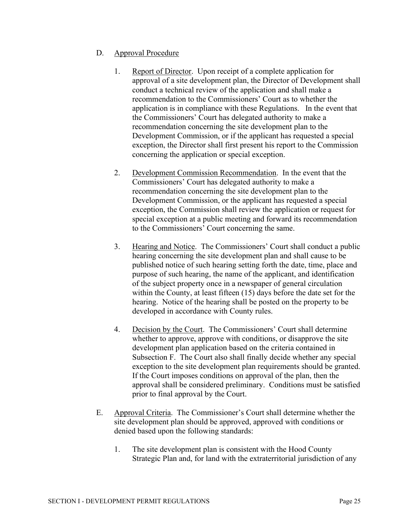#### D. Approval Procedure

- 1. Report of Director. Upon receipt of a complete application for approval of a site development plan, the Director of Development shall conduct a technical review of the application and shall make a recommendation to the Commissioners' Court as to whether the application is in compliance with these Regulations. In the event that the Commissioners' Court has delegated authority to make a recommendation concerning the site development plan to the Development Commission, or if the applicant has requested a special exception, the Director shall first present his report to the Commission concerning the application or special exception.
- 2. Development Commission Recommendation. In the event that the Commissioners' Court has delegated authority to make a recommendation concerning the site development plan to the Development Commission, or the applicant has requested a special exception, the Commission shall review the application or request for special exception at a public meeting and forward its recommendation to the Commissioners' Court concerning the same.
- 3. Hearing and Notice. The Commissioners' Court shall conduct a public hearing concerning the site development plan and shall cause to be published notice of such hearing setting forth the date, time, place and purpose of such hearing, the name of the applicant, and identification of the subject property once in a newspaper of general circulation within the County, at least fifteen (15) days before the date set for the hearing. Notice of the hearing shall be posted on the property to be developed in accordance with County rules.
- 4. Decision by the Court. The Commissioners' Court shall determine whether to approve, approve with conditions, or disapprove the site development plan application based on the criteria contained in Subsection F. The Court also shall finally decide whether any special exception to the site development plan requirements should be granted. If the Court imposes conditions on approval of the plan, then the approval shall be considered preliminary. Conditions must be satisfied prior to final approval by the Court.
- E. Approval Criteria. The Commissioner's Court shall determine whether the site development plan should be approved, approved with conditions or denied based upon the following standards:
	- 1. The site development plan is consistent with the Hood County Strategic Plan and, for land with the extraterritorial jurisdiction of any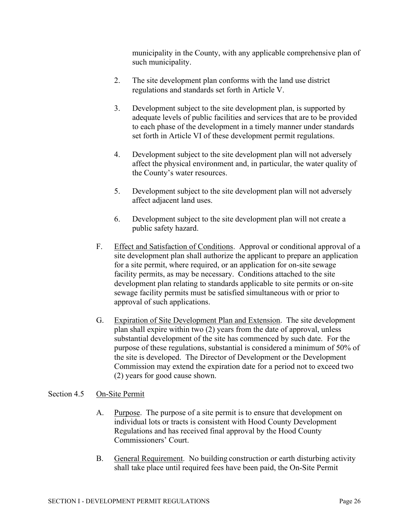municipality in the County, with any applicable comprehensive plan of such municipality.

- 2. The site development plan conforms with the land use district regulations and standards set forth in Article V.
- 3. Development subject to the site development plan, is supported by adequate levels of public facilities and services that are to be provided to each phase of the development in a timely manner under standards set forth in Article VI of these development permit regulations.
- 4. Development subject to the site development plan will not adversely affect the physical environment and, in particular, the water quality of the County's water resources.
- 5. Development subject to the site development plan will not adversely affect adjacent land uses.
- 6. Development subject to the site development plan will not create a public safety hazard.
- F. Effect and Satisfaction of Conditions. Approval or conditional approval of a site development plan shall authorize the applicant to prepare an application for a site permit, where required, or an application for on-site sewage facility permits, as may be necessary. Conditions attached to the site development plan relating to standards applicable to site permits or on-site sewage facility permits must be satisfied simultaneous with or prior to approval of such applications.
- G. Expiration of Site Development Plan and Extension. The site development plan shall expire within two (2) years from the date of approval, unless substantial development of the site has commenced by such date. For the purpose of these regulations, substantial is considered a minimum of 50% of the site is developed. The Director of Development or the Development Commission may extend the expiration date for a period not to exceed two (2) years for good cause shown.

#### Section 4.5 On-Site Permit

- A. Purpose. The purpose of a site permit is to ensure that development on individual lots or tracts is consistent with Hood County Development Regulations and has received final approval by the Hood County Commissioners' Court.
- B. General Requirement. No building construction or earth disturbing activity shall take place until required fees have been paid, the On-Site Permit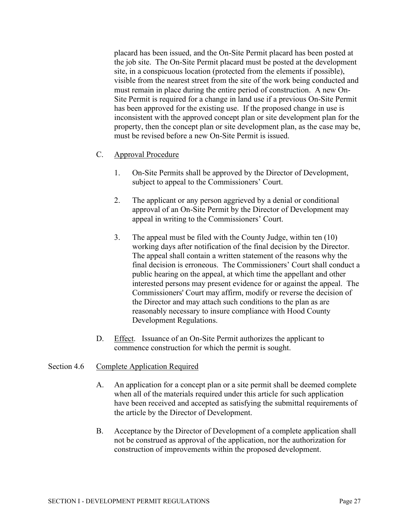placard has been issued, and the On-Site Permit placard has been posted at the job site. The On-Site Permit placard must be posted at the development site, in a conspicuous location (protected from the elements if possible), visible from the nearest street from the site of the work being conducted and must remain in place during the entire period of construction. A new On-Site Permit is required for a change in land use if a previous On-Site Permit has been approved for the existing use. If the proposed change in use is inconsistent with the approved concept plan or site development plan for the property, then the concept plan or site development plan, as the case may be, must be revised before a new On-Site Permit is issued.

#### C. Approval Procedure

- 1. On-Site Permits shall be approved by the Director of Development, subject to appeal to the Commissioners' Court.
- 2. The applicant or any person aggrieved by a denial or conditional approval of an On-Site Permit by the Director of Development may appeal in writing to the Commissioners' Court.
- 3. The appeal must be filed with the County Judge, within ten (10) working days after notification of the final decision by the Director. The appeal shall contain a written statement of the reasons why the final decision is erroneous. The Commissioners' Court shall conduct a public hearing on the appeal, at which time the appellant and other interested persons may present evidence for or against the appeal. The Commissioners' Court may affirm, modify or reverse the decision of the Director and may attach such conditions to the plan as are reasonably necessary to insure compliance with Hood County Development Regulations.
- D. Effect. Issuance of an On-Site Permit authorizes the applicant to commence construction for which the permit is sought.

#### Section 4.6 Complete Application Required

- A. An application for a concept plan or a site permit shall be deemed complete when all of the materials required under this article for such application have been received and accepted as satisfying the submittal requirements of the article by the Director of Development.
- B. Acceptance by the Director of Development of a complete application shall not be construed as approval of the application, nor the authorization for construction of improvements within the proposed development.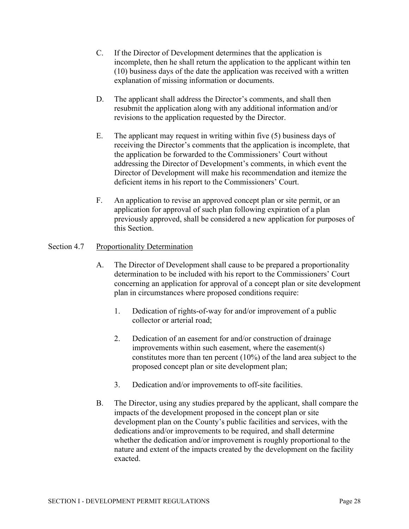- C. If the Director of Development determines that the application is incomplete, then he shall return the application to the applicant within ten (10) business days of the date the application was received with a written explanation of missing information or documents.
- D. The applicant shall address the Director's comments, and shall then resubmit the application along with any additional information and/or revisions to the application requested by the Director.
- E. The applicant may request in writing within five (5) business days of receiving the Director's comments that the application is incomplete, that the application be forwarded to the Commissioners' Court without addressing the Director of Development's comments, in which event the Director of Development will make his recommendation and itemize the deficient items in his report to the Commissioners' Court.
- F. An application to revise an approved concept plan or site permit, or an application for approval of such plan following expiration of a plan previously approved, shall be considered a new application for purposes of this Section.

#### Section 4.7 Proportionality Determination

- A. The Director of Development shall cause to be prepared a proportionality determination to be included with his report to the Commissioners' Court concerning an application for approval of a concept plan or site development plan in circumstances where proposed conditions require:
	- 1. Dedication of rights-of-way for and/or improvement of a public collector or arterial road;
	- 2. Dedication of an easement for and/or construction of drainage improvements within such easement, where the easement(s) constitutes more than ten percent (10%) of the land area subject to the proposed concept plan or site development plan;
	- 3. Dedication and/or improvements to off-site facilities.
- B. The Director, using any studies prepared by the applicant, shall compare the impacts of the development proposed in the concept plan or site development plan on the County's public facilities and services, with the dedications and/or improvements to be required, and shall determine whether the dedication and/or improvement is roughly proportional to the nature and extent of the impacts created by the development on the facility exacted.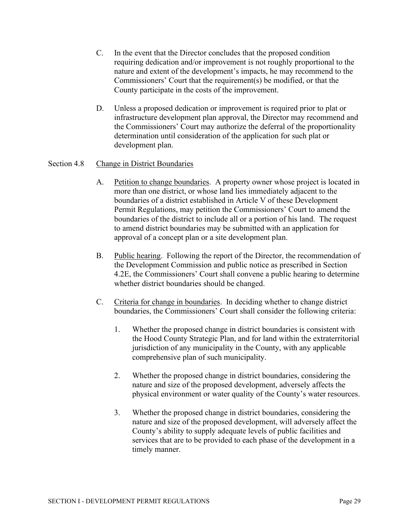- C. In the event that the Director concludes that the proposed condition requiring dedication and/or improvement is not roughly proportional to the nature and extent of the development's impacts, he may recommend to the Commissioners' Court that the requirement(s) be modified, or that the County participate in the costs of the improvement.
- D. Unless a proposed dedication or improvement is required prior to plat or infrastructure development plan approval, the Director may recommend and the Commissioners' Court may authorize the deferral of the proportionality determination until consideration of the application for such plat or development plan.

#### Section 4.8 Change in District Boundaries

- A. Petition to change boundaries. A property owner whose project is located in more than one district, or whose land lies immediately adjacent to the boundaries of a district established in Article V of these Development Permit Regulations, may petition the Commissioners' Court to amend the boundaries of the district to include all or a portion of his land. The request to amend district boundaries may be submitted with an application for approval of a concept plan or a site development plan.
- B. Public hearing. Following the report of the Director, the recommendation of the Development Commission and public notice as prescribed in Section 4.2E, the Commissioners' Court shall convene a public hearing to determine whether district boundaries should be changed.
- C. Criteria for change in boundaries. In deciding whether to change district boundaries, the Commissioners' Court shall consider the following criteria:
	- 1. Whether the proposed change in district boundaries is consistent with the Hood County Strategic Plan, and for land within the extraterritorial jurisdiction of any municipality in the County, with any applicable comprehensive plan of such municipality.
	- 2. Whether the proposed change in district boundaries, considering the nature and size of the proposed development, adversely affects the physical environment or water quality of the County's water resources.
	- 3. Whether the proposed change in district boundaries, considering the nature and size of the proposed development, will adversely affect the County's ability to supply adequate levels of public facilities and services that are to be provided to each phase of the development in a timely manner.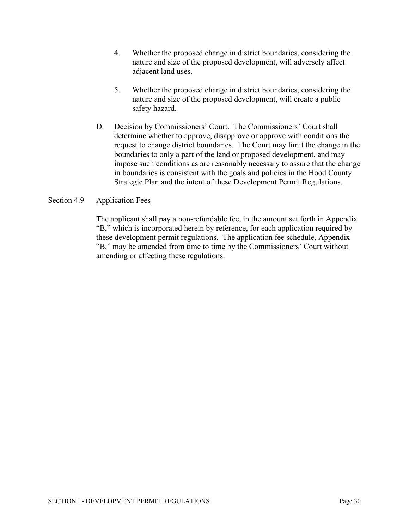- 4. Whether the proposed change in district boundaries, considering the nature and size of the proposed development, will adversely affect adjacent land uses.
- 5. Whether the proposed change in district boundaries, considering the nature and size of the proposed development, will create a public safety hazard.
- D. Decision by Commissioners' Court. The Commissioners' Court shall determine whether to approve, disapprove or approve with conditions the request to change district boundaries. The Court may limit the change in the boundaries to only a part of the land or proposed development, and may impose such conditions as are reasonably necessary to assure that the change in boundaries is consistent with the goals and policies in the Hood County Strategic Plan and the intent of these Development Permit Regulations.

#### Section 4.9 Application Fees

The applicant shall pay a non-refundable fee, in the amount set forth in Appendix "B," which is incorporated herein by reference, for each application required by these development permit regulations. The application fee schedule, Appendix "B," may be amended from time to time by the Commissioners' Court without amending or affecting these regulations.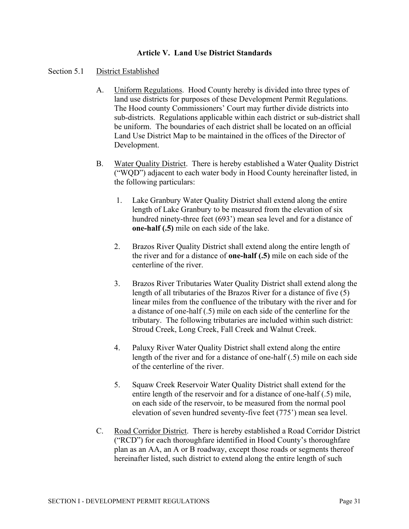#### **Article V. Land Use District Standards**

#### Section 5.1 District Established

- A. Uniform Regulations. Hood County hereby is divided into three types of land use districts for purposes of these Development Permit Regulations. The Hood county Commissioners' Court may further divide districts into sub-districts. Regulations applicable within each district or sub-district shall be uniform. The boundaries of each district shall be located on an official Land Use District Map to be maintained in the offices of the Director of Development.
- B. Water Quality District. There is hereby established a Water Quality District ("WQD") adjacent to each water body in Hood County hereinafter listed, in the following particulars:
	- 1. Lake Granbury Water Quality District shall extend along the entire length of Lake Granbury to be measured from the elevation of six hundred ninety-three feet (693') mean sea level and for a distance of **one-half (.5)** mile on each side of the lake.
	- 2. Brazos River Quality District shall extend along the entire length of the river and for a distance of **one-half (.5)** mile on each side of the centerline of the river.
	- 3. Brazos River Tributaries Water Quality District shall extend along the length of all tributaries of the Brazos River for a distance of five (5) linear miles from the confluence of the tributary with the river and for a distance of one-half (.5) mile on each side of the centerline for the tributary. The following tributaries are included within such district: Stroud Creek, Long Creek, Fall Creek and Walnut Creek.
	- 4. Paluxy River Water Quality District shall extend along the entire length of the river and for a distance of one-half (.5) mile on each side of the centerline of the river.
	- 5. Squaw Creek Reservoir Water Quality District shall extend for the entire length of the reservoir and for a distance of one-half (.5) mile, on each side of the reservoir, to be measured from the normal pool elevation of seven hundred seventy-five feet (775') mean sea level.
- C. Road Corridor District. There is hereby established a Road Corridor District ("RCD") for each thoroughfare identified in Hood County's thoroughfare plan as an AA, an A or B roadway, except those roads or segments thereof hereinafter listed, such district to extend along the entire length of such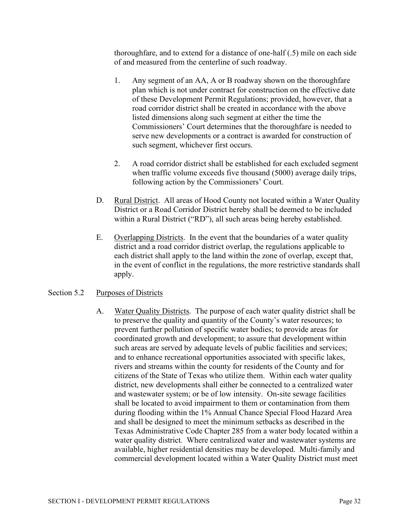thoroughfare, and to extend for a distance of one-half (.5) mile on each side of and measured from the centerline of such roadway.

- 1. Any segment of an AA, A or B roadway shown on the thoroughfare plan which is not under contract for construction on the effective date of these Development Permit Regulations; provided, however, that a road corridor district shall be created in accordance with the above listed dimensions along such segment at either the time the Commissioners' Court determines that the thoroughfare is needed to serve new developments or a contract is awarded for construction of such segment, whichever first occurs.
- 2. A road corridor district shall be established for each excluded segment when traffic volume exceeds five thousand (5000) average daily trips, following action by the Commissioners' Court.
- D. Rural District. All areas of Hood County not located within a Water Quality District or a Road Corridor District hereby shall be deemed to be included within a Rural District ("RD"), all such areas being hereby established.
- E. Overlapping Districts. In the event that the boundaries of a water quality district and a road corridor district overlap, the regulations applicable to each district shall apply to the land within the zone of overlap, except that, in the event of conflict in the regulations, the more restrictive standards shall apply.

#### Section 5.2 Purposes of Districts

A. Water Quality Districts. The purpose of each water quality district shall be to preserve the quality and quantity of the County's water resources; to prevent further pollution of specific water bodies; to provide areas for coordinated growth and development; to assure that development within such areas are served by adequate levels of public facilities and services; and to enhance recreational opportunities associated with specific lakes, rivers and streams within the county for residents of the County and for citizens of the State of Texas who utilize them. Within each water quality district, new developments shall either be connected to a centralized water and wastewater system; or be of low intensity. On-site sewage facilities shall be located to avoid impairment to them or contamination from them during flooding within the 1% Annual Chance Special Flood Hazard Area and shall be designed to meet the minimum setbacks as described in the Texas Administrative Code Chapter 285 from a water body located within a water quality district*.* Where centralized water and wastewater systems are available, higher residential densities may be developed. Multi-family and commercial development located within a Water Quality District must meet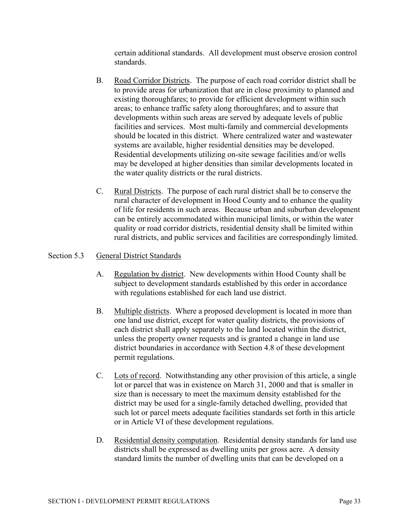certain additional standards. All development must observe erosion control standards.

- B. Road Corridor Districts. The purpose of each road corridor district shall be to provide areas for urbanization that are in close proximity to planned and existing thoroughfares; to provide for efficient development within such areas; to enhance traffic safety along thoroughfares; and to assure that developments within such areas are served by adequate levels of public facilities and services. Most multi-family and commercial developments should be located in this district. Where centralized water and wastewater systems are available, higher residential densities may be developed. Residential developments utilizing on-site sewage facilities and/or wells may be developed at higher densities than similar developments located in the water quality districts or the rural districts.
- C. Rural Districts. The purpose of each rural district shall be to conserve the rural character of development in Hood County and to enhance the quality of life for residents in such areas. Because urban and suburban development can be entirely accommodated within municipal limits, or within the water quality or road corridor districts, residential density shall be limited within rural districts, and public services and facilities are correspondingly limited.

#### Section 5.3 General District Standards

- A. Regulation by district. New developments within Hood County shall be subject to development standards established by this order in accordance with regulations established for each land use district.
- B. Multiple districts. Where a proposed development is located in more than one land use district, except for water quality districts, the provisions of each district shall apply separately to the land located within the district, unless the property owner requests and is granted a change in land use district boundaries in accordance with Section 4.8 of these development permit regulations.
- C. Lots of record. Notwithstanding any other provision of this article, a single lot or parcel that was in existence on March 31, 2000 and that is smaller in size than is necessary to meet the maximum density established for the district may be used for a single-family detached dwelling, provided that such lot or parcel meets adequate facilities standards set forth in this article or in Article VI of these development regulations.
- D. Residential density computation. Residential density standards for land use districts shall be expressed as dwelling units per gross acre. A density standard limits the number of dwelling units that can be developed on a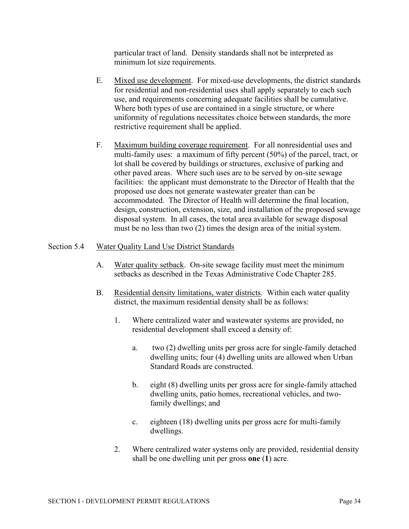particular tract of land. Density standards shall not be interpreted as minimum lot size requirements.

- E. Mixed use development. For mixed-use developments, the district standards for residential and non-residential uses shall apply separately to each such use, and requirements concerning adequate facilities shall be cumulative. Where both types of use are contained in a single structure, or where uniformity of regulations necessitates choice between standards, the more restrictive requirement shall be applied.
- F. Maximum building coverage requirement. For all nonresidential uses and multi-family uses: a maximum of fifty percent (50%) of the parcel, tract, or lot shall be covered by buildings or structures, exclusive of parking and other paved areas. Where such uses are to be served by on-site sewage facilities: the applicant must demonstrate to the Director of Health that the proposed use does not generate wastewater greater than can be accommodated. The Director of Health will determine the final location, design, construction, extension, size, and installation of the proposed sewage disposal system. In all cases, the total area available for sewage disposal must be no less than two (2) times the design area of the initial system.

## Section 5.4 Water Quality Land Use District Standards

- A. Water quality setback. On-site sewage facility must meet the minimum setbacks as described in the Texas Administrative Code Chapter 285.
- B. Residential density limitations, water districts. Within each water quality district, the maximum residential density shall be as follows:
	- 1. Where centralized water and wastewater systems are provided, no residential development shall exceed a density of:
		- a. two (2) dwelling units per gross acre for single-family detached dwelling units; four (4) dwelling units are allowed when Urban Standard Roads are constructed.
		- b. eight (8) dwelling units per gross acre for single-family attached dwelling units, patio homes, recreational vehicles, and twofamily dwellings; and
		- c. eighteen (18) dwelling units per gross acre for multi-family dwellings.
	- 2. Where centralized water systems only are provided, residential density shall be one dwelling unit per gross **one** (**1**) acre.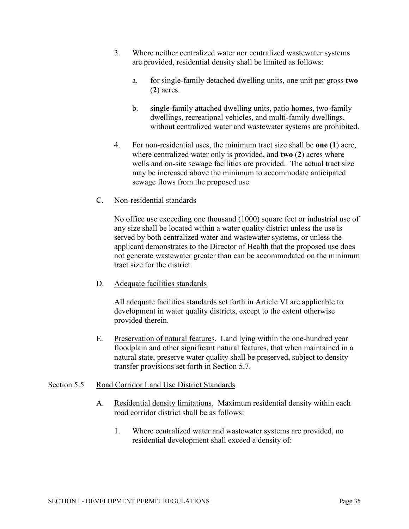- 3. Where neither centralized water nor centralized wastewater systems are provided, residential density shall be limited as follows:
	- a. for single-family detached dwelling units, one unit per gross **two** (**2**) acres.
	- b. single-family attached dwelling units, patio homes, two-family dwellings, recreational vehicles, and multi-family dwellings, without centralized water and wastewater systems are prohibited.
- 4. For non-residential uses, the minimum tract size shall be **one** (**1**) acre, where centralized water only is provided, and **two** (**2**) acres where wells and on-site sewage facilities are provided. The actual tract size may be increased above the minimum to accommodate anticipated sewage flows from the proposed use.
- C. Non-residential standards

No office use exceeding one thousand (1000) square feet or industrial use of any size shall be located within a water quality district unless the use is served by both centralized water and wastewater systems, or unless the applicant demonstrates to the Director of Health that the proposed use does not generate wastewater greater than can be accommodated on the minimum tract size for the district.

D. Adequate facilities standards

All adequate facilities standards set forth in Article VI are applicable to development in water quality districts, except to the extent otherwise provided therein.

E. Preservation of natural features. Land lying within the one-hundred year floodplain and other significant natural features, that when maintained in a natural state, preserve water quality shall be preserved, subject to density transfer provisions set forth in Section 5.7.

# Section 5.5 Road Corridor Land Use District Standards

- A. Residential density limitations. Maximum residential density within each road corridor district shall be as follows:
	- 1. Where centralized water and wastewater systems are provided, no residential development shall exceed a density of: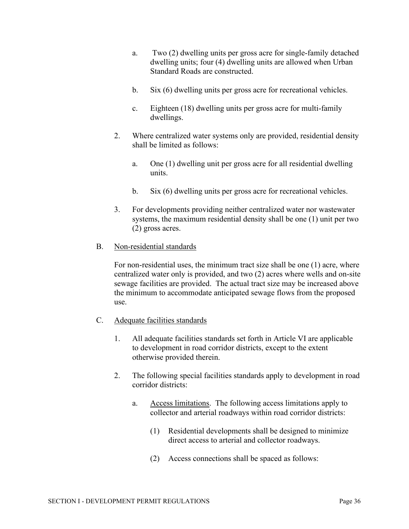- a. Two (2) dwelling units per gross acre for single-family detached dwelling units; four (4) dwelling units are allowed when Urban Standard Roads are constructed.
- b. Six (6) dwelling units per gross acre for recreational vehicles.
- c. Eighteen (18) dwelling units per gross acre for multi-family dwellings.
- 2. Where centralized water systems only are provided, residential density shall be limited as follows:
	- a. One (1) dwelling unit per gross acre for all residential dwelling units.
	- b. Six (6) dwelling units per gross acre for recreational vehicles.
- 3. For developments providing neither centralized water nor wastewater systems, the maximum residential density shall be one (1) unit per two (2) gross acres.

## B. Non-residential standards

For non-residential uses, the minimum tract size shall be one (1) acre, where centralized water only is provided, and two (2) acres where wells and on-site sewage facilities are provided. The actual tract size may be increased above the minimum to accommodate anticipated sewage flows from the proposed use.

- C. Adequate facilities standards
	- 1. All adequate facilities standards set forth in Article VI are applicable to development in road corridor districts, except to the extent otherwise provided therein.
	- 2. The following special facilities standards apply to development in road corridor districts:
		- a. Access limitations. The following access limitations apply to collector and arterial roadways within road corridor districts:
			- (1) Residential developments shall be designed to minimize direct access to arterial and collector roadways.
			- (2) Access connections shall be spaced as follows: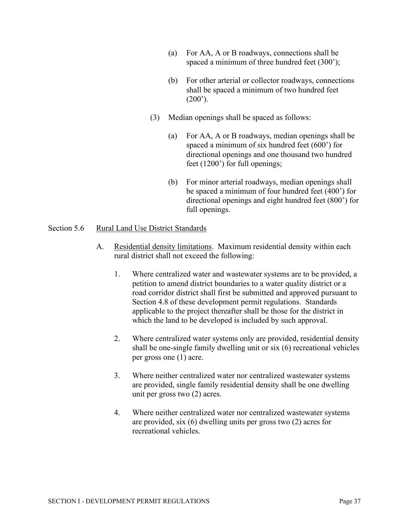- (a) For AA, A or B roadways, connections shall be spaced a minimum of three hundred feet (300');
- (b) For other arterial or collector roadways, connections shall be spaced a minimum of two hundred feet  $(200^{\circ})$ .
- (3) Median openings shall be spaced as follows:
	- (a) For AA, A or B roadways, median openings shall be spaced a minimum of six hundred feet (600') for directional openings and one thousand two hundred feet (1200') for full openings;
	- (b) For minor arterial roadways, median openings shall be spaced a minimum of four hundred feet (400') for directional openings and eight hundred feet (800') for full openings.

#### Section 5.6 Rural Land Use District Standards

- A. Residential density limitations. Maximum residential density within each rural district shall not exceed the following:
	- 1. Where centralized water and wastewater systems are to be provided, a petition to amend district boundaries to a water quality district or a road corridor district shall first be submitted and approved pursuant to Section 4.8 of these development permit regulations. Standards applicable to the project thereafter shall be those for the district in which the land to be developed is included by such approval.
	- 2. Where centralized water systems only are provided, residential density shall be one-single family dwelling unit or six (6) recreational vehicles per gross one (1) acre.
	- 3. Where neither centralized water nor centralized wastewater systems are provided, single family residential density shall be one dwelling unit per gross two (2) acres.
	- 4. Where neither centralized water nor centralized wastewater systems are provided, six (6) dwelling units per gross two (2) acres for recreational vehicles.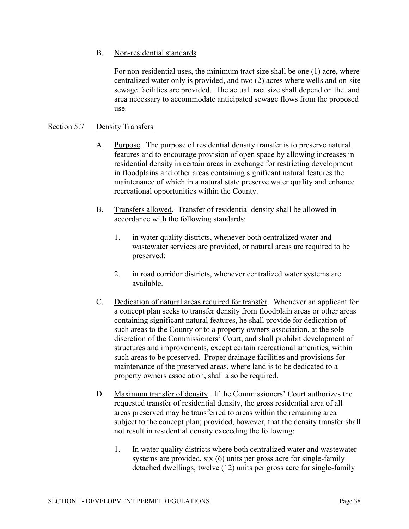# B. Non-residential standards

For non-residential uses, the minimum tract size shall be one (1) acre, where centralized water only is provided, and two (2) acres where wells and on-site sewage facilities are provided. The actual tract size shall depend on the land area necessary to accommodate anticipated sewage flows from the proposed use.

## Section 5.7 Density Transfers

- A. Purpose. The purpose of residential density transfer is to preserve natural features and to encourage provision of open space by allowing increases in residential density in certain areas in exchange for restricting development in floodplains and other areas containing significant natural features the maintenance of which in a natural state preserve water quality and enhance recreational opportunities within the County.
- B. Transfers allowed. Transfer of residential density shall be allowed in accordance with the following standards:
	- 1. in water quality districts, whenever both centralized water and wastewater services are provided, or natural areas are required to be preserved;
	- 2. in road corridor districts, whenever centralized water systems are available.
- C. Dedication of natural areas required for transfer. Whenever an applicant for a concept plan seeks to transfer density from floodplain areas or other areas containing significant natural features, he shall provide for dedication of such areas to the County or to a property owners association, at the sole discretion of the Commissioners' Court, and shall prohibit development of structures and improvements, except certain recreational amenities, within such areas to be preserved. Proper drainage facilities and provisions for maintenance of the preserved areas, where land is to be dedicated to a property owners association, shall also be required.
- D. Maximum transfer of density. If the Commissioners' Court authorizes the requested transfer of residential density, the gross residential area of all areas preserved may be transferred to areas within the remaining area subject to the concept plan; provided, however, that the density transfer shall not result in residential density exceeding the following:
	- 1. In water quality districts where both centralized water and wastewater systems are provided, six (6) units per gross acre for single-family detached dwellings; twelve (12) units per gross acre for single-family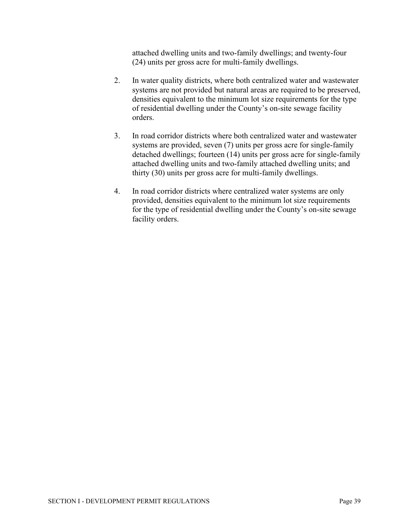attached dwelling units and two-family dwellings; and twenty-four (24) units per gross acre for multi-family dwellings.

- 2. In water quality districts, where both centralized water and wastewater systems are not provided but natural areas are required to be preserved, densities equivalent to the minimum lot size requirements for the type of residential dwelling under the County's on-site sewage facility orders.
- 3. In road corridor districts where both centralized water and wastewater systems are provided, seven (7) units per gross acre for single-family detached dwellings; fourteen (14) units per gross acre for single-family attached dwelling units and two-family attached dwelling units; and thirty (30) units per gross acre for multi-family dwellings.
- 4. In road corridor districts where centralized water systems are only provided, densities equivalent to the minimum lot size requirements for the type of residential dwelling under the County's on-site sewage facility orders.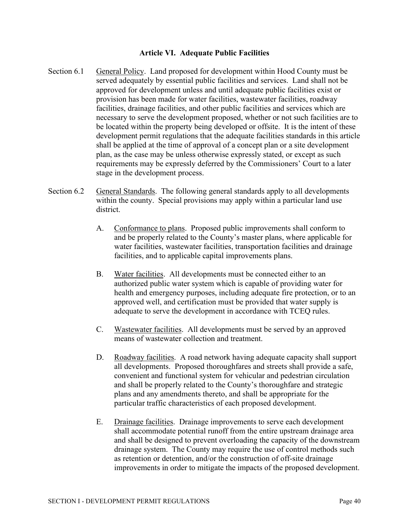#### **Article VI. Adequate Public Facilities**

- Section 6.1 General Policy. Land proposed for development within Hood County must be served adequately by essential public facilities and services. Land shall not be approved for development unless and until adequate public facilities exist or provision has been made for water facilities, wastewater facilities, roadway facilities, drainage facilities, and other public facilities and services which are necessary to serve the development proposed, whether or not such facilities are to be located within the property being developed or offsite. It is the intent of these development permit regulations that the adequate facilities standards in this article shall be applied at the time of approval of a concept plan or a site development plan, as the case may be unless otherwise expressly stated, or except as such requirements may be expressly deferred by the Commissioners' Court to a later stage in the development process.
- Section 6.2 General Standards. The following general standards apply to all developments within the county. Special provisions may apply within a particular land use district.
	- A. Conformance to plans. Proposed public improvements shall conform to and be properly related to the County's master plans, where applicable for water facilities, wastewater facilities, transportation facilities and drainage facilities, and to applicable capital improvements plans.
	- B. Water facilities. All developments must be connected either to an authorized public water system which is capable of providing water for health and emergency purposes, including adequate fire protection, or to an approved well, and certification must be provided that water supply is adequate to serve the development in accordance with TCEQ rules.
	- C. Wastewater facilities. All developments must be served by an approved means of wastewater collection and treatment.
	- D. Roadway facilities. A road network having adequate capacity shall support all developments. Proposed thoroughfares and streets shall provide a safe, convenient and functional system for vehicular and pedestrian circulation and shall be properly related to the County's thoroughfare and strategic plans and any amendments thereto, and shall be appropriate for the particular traffic characteristics of each proposed development.
	- E. Drainage facilities. Drainage improvements to serve each development shall accommodate potential runoff from the entire upstream drainage area and shall be designed to prevent overloading the capacity of the downstream drainage system. The County may require the use of control methods such as retention or detention, and/or the construction of off-site drainage improvements in order to mitigate the impacts of the proposed development.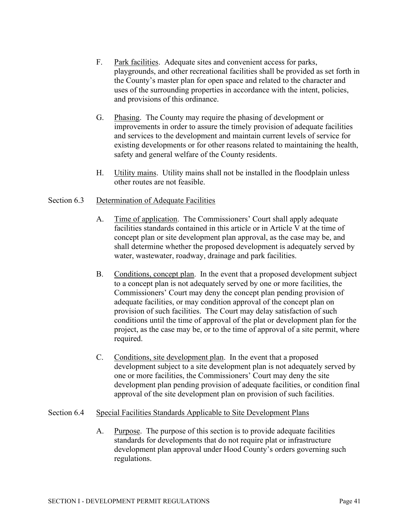- F. Park facilities. Adequate sites and convenient access for parks, playgrounds, and other recreational facilities shall be provided as set forth in the County's master plan for open space and related to the character and uses of the surrounding properties in accordance with the intent, policies, and provisions of this ordinance.
- G. Phasing. The County may require the phasing of development or improvements in order to assure the timely provision of adequate facilities and services to the development and maintain current levels of service for existing developments or for other reasons related to maintaining the health, safety and general welfare of the County residents.
- H. Utility mains. Utility mains shall not be installed in the floodplain unless other routes are not feasible.

# Section 6.3 Determination of Adequate Facilities

- A. Time of application. The Commissioners' Court shall apply adequate facilities standards contained in this article or in Article V at the time of concept plan or site development plan approval, as the case may be, and shall determine whether the proposed development is adequately served by water, wastewater, roadway, drainage and park facilities.
- B. Conditions, concept plan. In the event that a proposed development subject to a concept plan is not adequately served by one or more facilities, the Commissioners' Court may deny the concept plan pending provision of adequate facilities, or may condition approval of the concept plan on provision of such facilities. The Court may delay satisfaction of such conditions until the time of approval of the plat or development plan for the project, as the case may be, or to the time of approval of a site permit, where required.
- C. Conditions, site development plan. In the event that a proposed development subject to a site development plan is not adequately served by one or more facilities, the Commissioners' Court may deny the site development plan pending provision of adequate facilities, or condition final approval of the site development plan on provision of such facilities.

## Section 6.4 Special Facilities Standards Applicable to Site Development Plans

A. Purpose. The purpose of this section is to provide adequate facilities standards for developments that do not require plat or infrastructure development plan approval under Hood County's orders governing such regulations.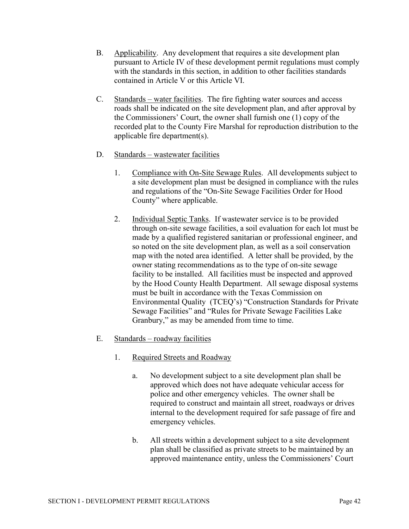- B. Applicability. Any development that requires a site development plan pursuant to Article IV of these development permit regulations must comply with the standards in this section, in addition to other facilities standards contained in Article V or this Article VI.
- C. Standards water facilities. The fire fighting water sources and access roads shall be indicated on the site development plan, and after approval by the Commissioners' Court, the owner shall furnish one (1) copy of the recorded plat to the County Fire Marshal for reproduction distribution to the applicable fire department(s).
- D. Standards wastewater facilities
	- 1. Compliance with On-Site Sewage Rules. All developments subject to a site development plan must be designed in compliance with the rules and regulations of the "On-Site Sewage Facilities Order for Hood County" where applicable.
	- 2. Individual Septic Tanks. If wastewater service is to be provided through on-site sewage facilities, a soil evaluation for each lot must be made by a qualified registered sanitarian or professional engineer, and so noted on the site development plan, as well as a soil conservation map with the noted area identified. A letter shall be provided, by the owner stating recommendations as to the type of on-site sewage facility to be installed. All facilities must be inspected and approved by the Hood County Health Department. All sewage disposal systems must be built in accordance with the Texas Commission on Environmental Quality (TCEQ's) "Construction Standards for Private Sewage Facilities" and "Rules for Private Sewage Facilities Lake Granbury," as may be amended from time to time.
- E. Standards roadway facilities
	- 1. Required Streets and Roadway
		- a. No development subject to a site development plan shall be approved which does not have adequate vehicular access for police and other emergency vehicles. The owner shall be required to construct and maintain all street, roadways or drives internal to the development required for safe passage of fire and emergency vehicles.
		- b. All streets within a development subject to a site development plan shall be classified as private streets to be maintained by an approved maintenance entity, unless the Commissioners' Court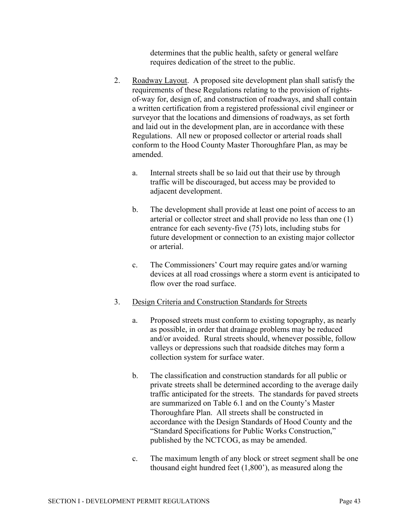determines that the public health, safety or general welfare requires dedication of the street to the public.

- 2. Roadway Layout. A proposed site development plan shall satisfy the requirements of these Regulations relating to the provision of rightsof-way for, design of, and construction of roadways, and shall contain a written certification from a registered professional civil engineer or surveyor that the locations and dimensions of roadways, as set forth and laid out in the development plan, are in accordance with these Regulations. All new or proposed collector or arterial roads shall conform to the Hood County Master Thoroughfare Plan, as may be amended.
	- a. Internal streets shall be so laid out that their use by through traffic will be discouraged, but access may be provided to adjacent development.
	- b. The development shall provide at least one point of access to an arterial or collector street and shall provide no less than one (1) entrance for each seventy-five (75) lots, including stubs for future development or connection to an existing major collector or arterial.
	- c. The Commissioners' Court may require gates and/or warning devices at all road crossings where a storm event is anticipated to flow over the road surface.
- 3. Design Criteria and Construction Standards for Streets
	- a. Proposed streets must conform to existing topography, as nearly as possible, in order that drainage problems may be reduced and/or avoided. Rural streets should, whenever possible, follow valleys or depressions such that roadside ditches may form a collection system for surface water.
	- b. The classification and construction standards for all public or private streets shall be determined according to the average daily traffic anticipated for the streets. The standards for paved streets are summarized on Table 6.1 and on the County's Master Thoroughfare Plan. All streets shall be constructed in accordance with the Design Standards of Hood County and the "Standard Specifications for Public Works Construction," published by the NCTCOG, as may be amended.
	- c. The maximum length of any block or street segment shall be one thousand eight hundred feet (1,800'), as measured along the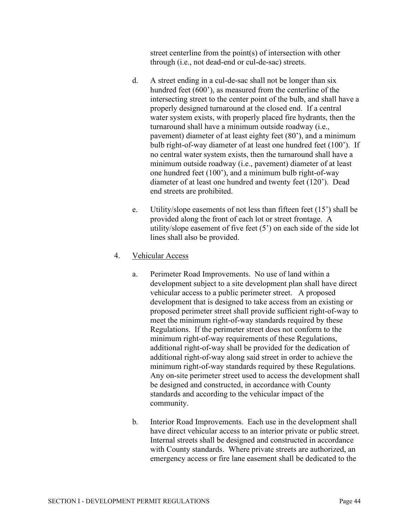street centerline from the point(s) of intersection with other through (i.e., not dead-end or cul-de-sac) streets.

- d. A street ending in a cul-de-sac shall not be longer than six hundred feet (600'), as measured from the centerline of the intersecting street to the center point of the bulb, and shall have a properly designed turnaround at the closed end. If a central water system exists, with properly placed fire hydrants, then the turnaround shall have a minimum outside roadway (i.e., pavement) diameter of at least eighty feet (80'), and a minimum bulb right-of-way diameter of at least one hundred feet (100'). If no central water system exists, then the turnaround shall have a minimum outside roadway (i.e., pavement) diameter of at least one hundred feet (100'), and a minimum bulb right-of-way diameter of at least one hundred and twenty feet (120'). Dead end streets are prohibited.
- e. Utility/slope easements of not less than fifteen feet (15') shall be provided along the front of each lot or street frontage. A utility/slope easement of five feet (5') on each side of the side lot lines shall also be provided.

# 4. Vehicular Access

- a. Perimeter Road Improvements. No use of land within a development subject to a site development plan shall have direct vehicular access to a public perimeter street. A proposed development that is designed to take access from an existing or proposed perimeter street shall provide sufficient right-of-way to meet the minimum right-of-way standards required by these Regulations. If the perimeter street does not conform to the minimum right-of-way requirements of these Regulations, additional right-of-way shall be provided for the dedication of additional right-of-way along said street in order to achieve the minimum right-of-way standards required by these Regulations. Any on-site perimeter street used to access the development shall be designed and constructed, in accordance with County standards and according to the vehicular impact of the community.
- b. Interior Road Improvements. Each use in the development shall have direct vehicular access to an interior private or public street. Internal streets shall be designed and constructed in accordance with County standards. Where private streets are authorized, an emergency access or fire lane easement shall be dedicated to the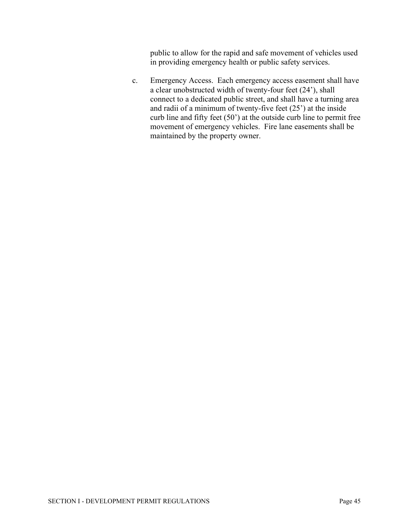public to allow for the rapid and safe movement of vehicles used in providing emergency health or public safety services.

c. Emergency Access. Each emergency access easement shall have a clear unobstructed width of twenty-four feet (24'), shall connect to a dedicated public street, and shall have a turning area and radii of a minimum of twenty-five feet (25') at the inside curb line and fifty feet (50') at the outside curb line to permit free movement of emergency vehicles. Fire lane easements shall be maintained by the property owner.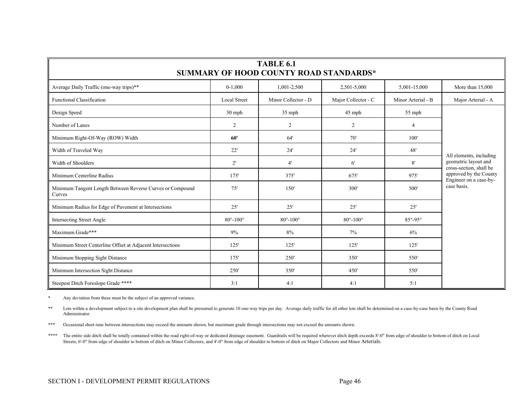| <b>TABLE 6.1</b><br>SUMMARY OF HOOD COUNTY ROAD STANDARDS*          |                            |                        |                        |                       |                                                  |  |  |
|---------------------------------------------------------------------|----------------------------|------------------------|------------------------|-----------------------|--------------------------------------------------|--|--|
| Average Daily Traffic (one-way trips)**                             | $0-1,000$                  | 1,001-2,500            | 2,501-5,000            | 5,001-15,000          | More than 15,000                                 |  |  |
| <b>Functional Classification</b>                                    | <b>Local Street</b>        | Minor Collector - D    | Major Collector - C    | Minor Arterial - B    | Major Arterial - A                               |  |  |
| Design Speed                                                        | 30 mph                     | $35$ mph               | 45 mph                 | $55$ mph              |                                                  |  |  |
| Number of Lanes                                                     | $\overline{2}$             | 2                      | 2                      | 4                     |                                                  |  |  |
| Minimum Right-Of-Way (ROW) Width                                    | 60'                        | 64'                    | 70'                    | 100'                  |                                                  |  |  |
| Width of Traveled Way                                               | 22'                        | 24'                    | 24'                    | 48'                   | All elements, including                          |  |  |
| Width of Shoulders                                                  | $2^{\prime}$               | 4'                     | $6^{\circ}$            | 8'                    | geometric layout and<br>cross-section, shall be  |  |  |
| Minimum Centerline Radius                                           | 175'                       | 375'                   | 675'                   | 975'                  | approved by the County<br>Engineer on a case-by- |  |  |
| Minimum Tangent Length Between Reverse Curves or Compound<br>Curves | 75'                        | 150                    | 300'                   | 500'                  | case basis.                                      |  |  |
| Minimum Radius for Edge of Pavement at Intersections                | 25'                        | 25'                    | 25'                    | 25'                   |                                                  |  |  |
| Intersecting Street Angle                                           | $80^{\circ} - 100^{\circ}$ | $80^\circ - 100^\circ$ | $80^\circ - 100^\circ$ | $85^\circ - 95^\circ$ |                                                  |  |  |
| Maximum Grade***                                                    | 9%                         | 8%                     | 7%                     | 6%                    |                                                  |  |  |
| Minimum Street Centerline Offset at Adjacent Intersections          | 125'                       | 125'                   | 125'                   | 125'                  |                                                  |  |  |
| Minimum Stopping Sight Distance                                     | 175'                       | 250                    | 350'                   | 550'                  |                                                  |  |  |
| Minimum Intersection Sight Distance                                 | 250'                       | 350'                   | 450'                   | 550'                  |                                                  |  |  |
| Steepest Ditch Foreslope Grade ****                                 | 3:1                        | 4:1                    | 4:1                    | 5:1                   |                                                  |  |  |

\* Any deviation from these must be the subject of an approved variance.

\*\* Lots within a development subject to a site development plan shall be presumed to generate 10 one-way trips per day. Average daily traffic for all other lots shall be determined on a case-by-case basis by the County Roa Administrator.

\*\*\* Occasional short runs between intersections may exceed the amounts shown, but maximum grade through intersections may not exceed the amounts shown.

\*\*\*\* The entire side ditch shall be totally contained within the road right-of-way or dedicated drainage easement. Guardrails will be required wherever ditch depth exceeds 8'-0" from edge of shoulder to bottom of ditch on Streets, 6'-0" from edge of shoulder to bottom of ditch on Minor Collectors, and 4'-0" from edge of shoulder to bottom of ditch on Major Collectors and Minor Arterials.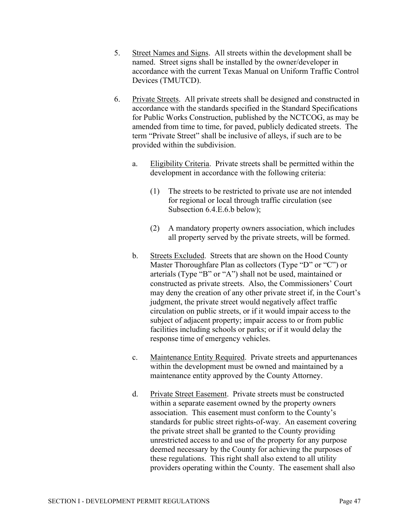- 5. Street Names and Signs. All streets within the development shall be named. Street signs shall be installed by the owner/developer in accordance with the current Texas Manual on Uniform Traffic Control Devices (TMUTCD).
- 6. Private Streets. All private streets shall be designed and constructed in accordance with the standards specified in the Standard Specifications for Public Works Construction, published by the NCTCOG, as may be amended from time to time, for paved, publicly dedicated streets. The term "Private Street" shall be inclusive of alleys, if such are to be provided within the subdivision.
	- a. Eligibility Criteria. Private streets shall be permitted within the development in accordance with the following criteria:
		- (1) The streets to be restricted to private use are not intended for regional or local through traffic circulation (see Subsection 6.4.E.6.b below);
		- (2) A mandatory property owners association, which includes all property served by the private streets, will be formed.
	- b. Streets Excluded. Streets that are shown on the Hood County Master Thoroughfare Plan as collectors (Type "D" or "C") or arterials (Type "B" or "A") shall not be used, maintained or constructed as private streets. Also, the Commissioners' Court may deny the creation of any other private street if, in the Court's judgment, the private street would negatively affect traffic circulation on public streets, or if it would impair access to the subject of adjacent property; impair access to or from public facilities including schools or parks; or if it would delay the response time of emergency vehicles.
	- c. Maintenance Entity Required. Private streets and appurtenances within the development must be owned and maintained by a maintenance entity approved by the County Attorney.
	- d. Private Street Easement. Private streets must be constructed within a separate easement owned by the property owners association. This easement must conform to the County's standards for public street rights-of-way. An easement covering the private street shall be granted to the County providing unrestricted access to and use of the property for any purpose deemed necessary by the County for achieving the purposes of these regulations. This right shall also extend to all utility providers operating within the County. The easement shall also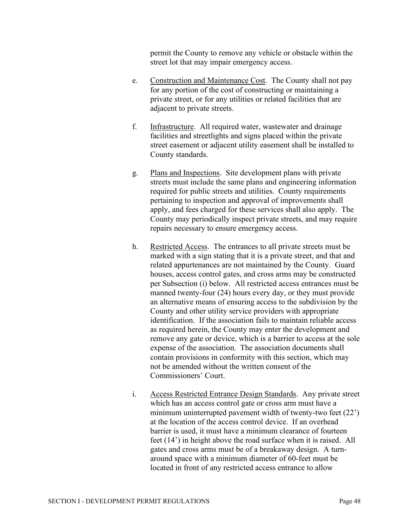permit the County to remove any vehicle or obstacle within the street lot that may impair emergency access.

- e. Construction and Maintenance Cost. The County shall not pay for any portion of the cost of constructing or maintaining a private street, or for any utilities or related facilities that are adjacent to private streets.
- f. Infrastructure. All required water, wastewater and drainage facilities and streetlights and signs placed within the private street easement or adjacent utility easement shall be installed to County standards.
- g. Plans and Inspections. Site development plans with private streets must include the same plans and engineering information required for public streets and utilities. County requirements pertaining to inspection and approval of improvements shall apply, and fees charged for these services shall also apply. The County may periodically inspect private streets, and may require repairs necessary to ensure emergency access.
- h. Restricted Access. The entrances to all private streets must be marked with a sign stating that it is a private street, and that and related appurtenances are not maintained by the County. Guard houses, access control gates, and cross arms may be constructed per Subsection (i) below. All restricted access entrances must be manned twenty-four (24) hours every day, or they must provide an alternative means of ensuring access to the subdivision by the County and other utility service providers with appropriate identification. If the association fails to maintain reliable access as required herein, the County may enter the development and remove any gate or device, which is a barrier to access at the sole expense of the association. The association documents shall contain provisions in conformity with this section, which may not be amended without the written consent of the Commissioners' Court.
- i. Access Restricted Entrance Design Standards. Any private street which has an access control gate or cross arm must have a minimum uninterrupted pavement width of twenty-two feet (22') at the location of the access control device. If an overhead barrier is used, it must have a minimum clearance of fourteen feet (14') in height above the road surface when it is raised. All gates and cross arms must be of a breakaway design. A turnaround space with a minimum diameter of 60-feet must be located in front of any restricted access entrance to allow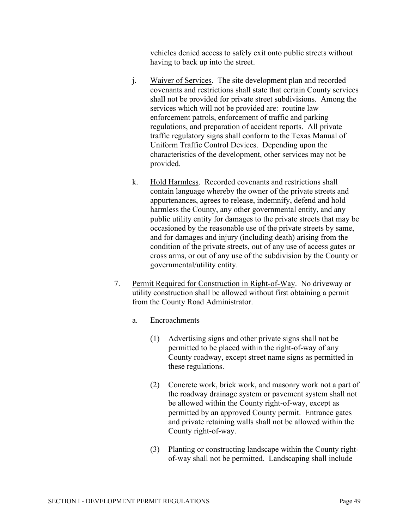vehicles denied access to safely exit onto public streets without having to back up into the street.

- j. Waiver of Services. The site development plan and recorded covenants and restrictions shall state that certain County services shall not be provided for private street subdivisions. Among the services which will not be provided are: routine law enforcement patrols, enforcement of traffic and parking regulations, and preparation of accident reports. All private traffic regulatory signs shall conform to the Texas Manual of Uniform Traffic Control Devices. Depending upon the characteristics of the development, other services may not be provided.
- k. Hold Harmless. Recorded covenants and restrictions shall contain language whereby the owner of the private streets and appurtenances, agrees to release, indemnify, defend and hold harmless the County, any other governmental entity, and any public utility entity for damages to the private streets that may be occasioned by the reasonable use of the private streets by same, and for damages and injury (including death) arising from the condition of the private streets, out of any use of access gates or cross arms, or out of any use of the subdivision by the County or governmental/utility entity.
- 7. Permit Required for Construction in Right-of-Way. No driveway or utility construction shall be allowed without first obtaining a permit from the County Road Administrator.
	- a. Encroachments
		- (1) Advertising signs and other private signs shall not be permitted to be placed within the right-of-way of any County roadway, except street name signs as permitted in these regulations.
		- (2) Concrete work, brick work, and masonry work not a part of the roadway drainage system or pavement system shall not be allowed within the County right-of-way, except as permitted by an approved County permit. Entrance gates and private retaining walls shall not be allowed within the County right-of-way.
		- (3) Planting or constructing landscape within the County rightof-way shall not be permitted. Landscaping shall include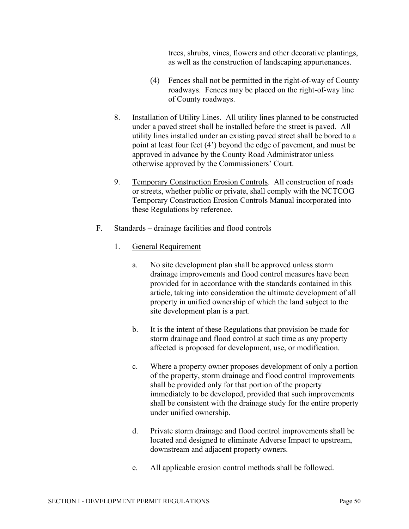trees, shrubs, vines, flowers and other decorative plantings, as well as the construction of landscaping appurtenances.

- (4) Fences shall not be permitted in the right-of-way of County roadways. Fences may be placed on the right-of-way line of County roadways.
- 8. Installation of Utility Lines. All utility lines planned to be constructed under a paved street shall be installed before the street is paved. All utility lines installed under an existing paved street shall be bored to a point at least four feet (4') beyond the edge of pavement, and must be approved in advance by the County Road Administrator unless otherwise approved by the Commissioners' Court.
- 9. Temporary Construction Erosion Controls. All construction of roads or streets, whether public or private, shall comply with the NCTCOG Temporary Construction Erosion Controls Manual incorporated into these Regulations by reference.
- F. Standards drainage facilities and flood controls
	- 1. General Requirement
		- a. No site development plan shall be approved unless storm drainage improvements and flood control measures have been provided for in accordance with the standards contained in this article, taking into consideration the ultimate development of all property in unified ownership of which the land subject to the site development plan is a part.
		- b. It is the intent of these Regulations that provision be made for storm drainage and flood control at such time as any property affected is proposed for development, use, or modification.
		- c. Where a property owner proposes development of only a portion of the property, storm drainage and flood control improvements shall be provided only for that portion of the property immediately to be developed, provided that such improvements shall be consistent with the drainage study for the entire property under unified ownership.
		- d. Private storm drainage and flood control improvements shall be located and designed to eliminate Adverse Impact to upstream, downstream and adjacent property owners.
		- e. All applicable erosion control methods shall be followed.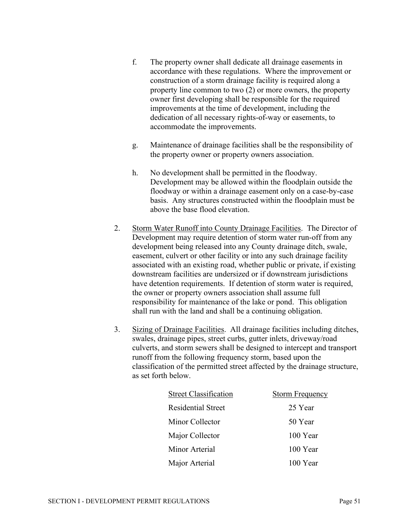- f. The property owner shall dedicate all drainage easements in accordance with these regulations. Where the improvement or construction of a storm drainage facility is required along a property line common to two (2) or more owners, the property owner first developing shall be responsible for the required improvements at the time of development, including the dedication of all necessary rights-of-way or easements, to accommodate the improvements.
- g. Maintenance of drainage facilities shall be the responsibility of the property owner or property owners association.
- h. No development shall be permitted in the floodway. Development may be allowed within the floodplain outside the floodway or within a drainage easement only on a case-by-case basis. Any structures constructed within the floodplain must be above the base flood elevation.
- 2. Storm Water Runoff into County Drainage Facilities. The Director of Development may require detention of storm water run-off from any development being released into any County drainage ditch, swale, easement, culvert or other facility or into any such drainage facility associated with an existing road, whether public or private, if existing downstream facilities are undersized or if downstream jurisdictions have detention requirements. If detention of storm water is required, the owner or property owners association shall assume full responsibility for maintenance of the lake or pond. This obligation shall run with the land and shall be a continuing obligation.
- 3. Sizing of Drainage Facilities. All drainage facilities including ditches, swales, drainage pipes, street curbs, gutter inlets, driveway/road culverts, and storm sewers shall be designed to intercept and transport runoff from the following frequency storm, based upon the classification of the permitted street affected by the drainage structure, as set forth below.

| <b>Street Classification</b> | Storm Frequency |
|------------------------------|-----------------|
| Residential Street           | 25 Year         |
| Minor Collector              | 50 Year         |
| Major Collector              | 100 Year        |
| Minor Arterial               | 100 Year        |
| Major Arterial               | 100 Year        |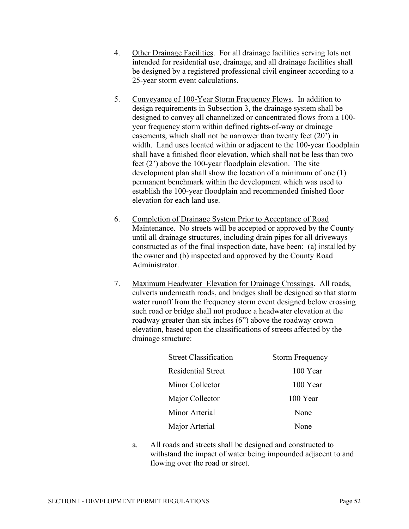- 4. Other Drainage Facilities. For all drainage facilities serving lots not intended for residential use, drainage, and all drainage facilities shall be designed by a registered professional civil engineer according to a 25-year storm event calculations.
- 5. Conveyance of 100-Year Storm Frequency Flows. In addition to design requirements in Subsection 3, the drainage system shall be designed to convey all channelized or concentrated flows from a 100 year frequency storm within defined rights-of-way or drainage easements, which shall not be narrower than twenty feet (20') in width. Land uses located within or adjacent to the 100-year floodplain shall have a finished floor elevation, which shall not be less than two feet (2') above the 100-year floodplain elevation. The site development plan shall show the location of a minimum of one (1) permanent benchmark within the development which was used to establish the 100-year floodplain and recommended finished floor elevation for each land use.
- 6. Completion of Drainage System Prior to Acceptance of Road Maintenance. No streets will be accepted or approved by the County until all drainage structures, including drain pipes for all driveways constructed as of the final inspection date, have been: (a) installed by the owner and (b) inspected and approved by the County Road Administrator.
- 7. Maximum Headwater Elevation for Drainage Crossings. All roads, culverts underneath roads, and bridges shall be designed so that storm water runoff from the frequency storm event designed below crossing such road or bridge shall not produce a headwater elevation at the roadway greater than six inches (6") above the roadway crown elevation, based upon the classifications of streets affected by the drainage structure:

| <b>Street Classification</b> | <b>Storm Frequency</b> |
|------------------------------|------------------------|
| Residential Street           | 100 Year               |
| Minor Collector              | 100 Year               |
| Major Collector              | 100 Year               |
| Minor Arterial               | None                   |
| Major Arterial               | None                   |

a. All roads and streets shall be designed and constructed to withstand the impact of water being impounded adjacent to and flowing over the road or street.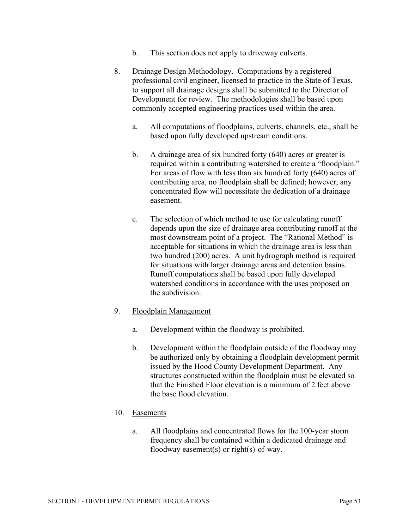- b. This section does not apply to driveway culverts.
- 8. Drainage Design Methodology. Computations by a registered professional civil engineer, licensed to practice in the State of Texas, to support all drainage designs shall be submitted to the Director of Development for review. The methodologies shall be based upon commonly accepted engineering practices used within the area.
	- a. All computations of floodplains, culverts, channels, etc., shall be based upon fully developed upstream conditions.
	- b. A drainage area of six hundred forty (640) acres or greater is required within a contributing watershed to create a "floodplain." For areas of flow with less than six hundred forty (640) acres of contributing area, no floodplain shall be defined; however, any concentrated flow will necessitate the dedication of a drainage easement.
	- c. The selection of which method to use for calculating runoff depends upon the size of drainage area contributing runoff at the most downstream point of a project. The "Rational Method" is acceptable for situations in which the drainage area is less than two hundred (200) acres. A unit hydrograph method is required for situations with larger drainage areas and detention basins. Runoff computations shall be based upon fully developed watershed conditions in accordance with the uses proposed on the subdivision.
- 9. Floodplain Management
	- a. Development within the floodway is prohibited.
	- b. Development within the floodplain outside of the floodway may be authorized only by obtaining a floodplain development permit issued by the Hood County Development Department. Any structures constructed within the floodplain must be elevated so that the Finished Floor elevation is a minimum of 2 feet above the base flood elevation.
- 10. Easements
	- a. All floodplains and concentrated flows for the 100-year storm frequency shall be contained within a dedicated drainage and floodway easement(s) or right(s)-of-way.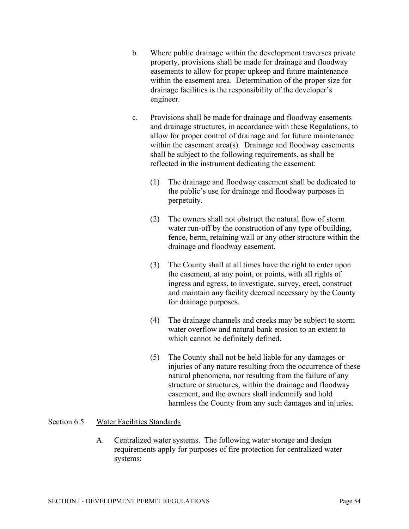- b. Where public drainage within the development traverses private property, provisions shall be made for drainage and floodway easements to allow for proper upkeep and future maintenance within the easement area. Determination of the proper size for drainage facilities is the responsibility of the developer's engineer.
- c. Provisions shall be made for drainage and floodway easements and drainage structures, in accordance with these Regulations, to allow for proper control of drainage and for future maintenance within the easement area(s). Drainage and floodway easements shall be subject to the following requirements, as shall be reflected in the instrument dedicating the easement:
	- (1) The drainage and floodway easement shall be dedicated to the public's use for drainage and floodway purposes in perpetuity.
	- (2) The owners shall not obstruct the natural flow of storm water run-off by the construction of any type of building, fence, berm, retaining wall or any other structure within the drainage and floodway easement.
	- (3) The County shall at all times have the right to enter upon the easement, at any point, or points, with all rights of ingress and egress, to investigate, survey, erect, construct and maintain any facility deemed necessary by the County for drainage purposes.
	- (4) The drainage channels and creeks may be subject to storm water overflow and natural bank erosion to an extent to which cannot be definitely defined.
	- (5) The County shall not be held liable for any damages or injuries of any nature resulting from the occurrence of these natural phenomena, nor resulting from the failure of any structure or structures, within the drainage and floodway easement, and the owners shall indemnify and hold harmless the County from any such damages and injuries.

## Section 6.5 Water Facilities Standards

A. Centralized water systems. The following water storage and design requirements apply for purposes of fire protection for centralized water systems: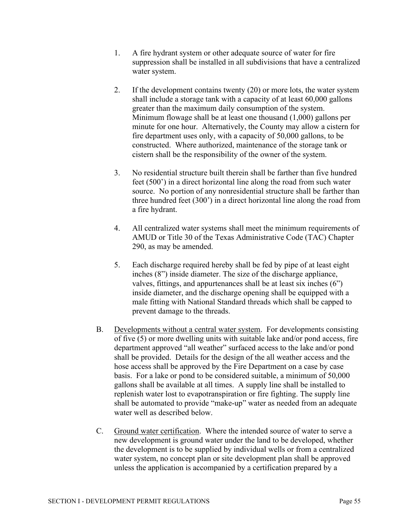- 1. A fire hydrant system or other adequate source of water for fire suppression shall be installed in all subdivisions that have a centralized water system.
- 2. If the development contains twenty (20) or more lots, the water system shall include a storage tank with a capacity of at least 60,000 gallons greater than the maximum daily consumption of the system. Minimum flowage shall be at least one thousand (1,000) gallons per minute for one hour. Alternatively, the County may allow a cistern for fire department uses only, with a capacity of 50,000 gallons, to be constructed. Where authorized, maintenance of the storage tank or cistern shall be the responsibility of the owner of the system.
- 3. No residential structure built therein shall be farther than five hundred feet (500') in a direct horizontal line along the road from such water source. No portion of any nonresidential structure shall be farther than three hundred feet (300') in a direct horizontal line along the road from a fire hydrant.
- 4. All centralized water systems shall meet the minimum requirements of AMUD or Title 30 of the Texas Administrative Code (TAC) Chapter 290, as may be amended.
- 5. Each discharge required hereby shall be fed by pipe of at least eight inches (8") inside diameter. The size of the discharge appliance, valves, fittings, and appurtenances shall be at least six inches (6") inside diameter, and the discharge opening shall be equipped with a male fitting with National Standard threads which shall be capped to prevent damage to the threads.
- B. Developments without a central water system. For developments consisting of five (5) or more dwelling units with suitable lake and/or pond access, fire department approved "all weather" surfaced access to the lake and/or pond shall be provided. Details for the design of the all weather access and the hose access shall be approved by the Fire Department on a case by case basis. For a lake or pond to be considered suitable, a minimum of 50,000 gallons shall be available at all times. A supply line shall be installed to replenish water lost to evapotranspiration or fire fighting. The supply line shall be automated to provide "make-up" water as needed from an adequate water well as described below.
- C. Ground water certification. Where the intended source of water to serve a new development is ground water under the land to be developed, whether the development is to be supplied by individual wells or from a centralized water system, no concept plan or site development plan shall be approved unless the application is accompanied by a certification prepared by a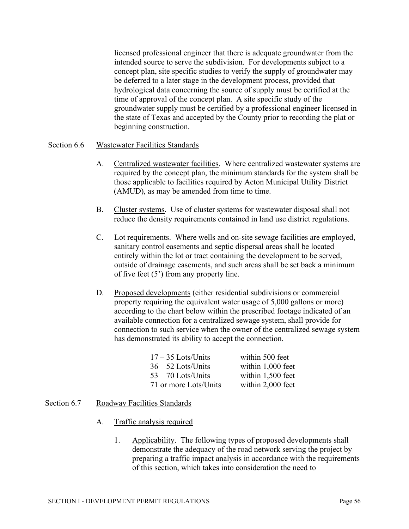licensed professional engineer that there is adequate groundwater from the intended source to serve the subdivision. For developments subject to a concept plan, site specific studies to verify the supply of groundwater may be deferred to a later stage in the development process, provided that hydrological data concerning the source of supply must be certified at the time of approval of the concept plan. A site specific study of the groundwater supply must be certified by a professional engineer licensed in the state of Texas and accepted by the County prior to recording the plat or beginning construction.

## Section 6.6 Wastewater Facilities Standards

- A. Centralized wastewater facilities. Where centralized wastewater systems are required by the concept plan, the minimum standards for the system shall be those applicable to facilities required by Acton Municipal Utility District (AMUD), as may be amended from time to time.
- B. Cluster systems. Use of cluster systems for wastewater disposal shall not reduce the density requirements contained in land use district regulations.
- C. Lot requirements. Where wells and on-site sewage facilities are employed, sanitary control easements and septic dispersal areas shall be located entirely within the lot or tract containing the development to be served, outside of drainage easements, and such areas shall be set back a minimum of five feet (5') from any property line.
- D. Proposed developments (either residential subdivisions or commercial property requiring the equivalent water usage of 5,000 gallons or more) according to the chart below within the prescribed footage indicated of an available connection for a centralized sewage system, shall provide for connection to such service when the owner of the centralized sewage system has demonstrated its ability to accept the connection.

| $17 - 35$ Lots/Units  | within 500 feet   |
|-----------------------|-------------------|
| $36 - 52$ Lots/Units  | within 1,000 feet |
| $53 - 70$ Lots/Units  | within 1,500 feet |
| 71 or more Lots/Units | within 2,000 feet |

## Section 6.7 Roadway Facilities Standards

- A. Traffic analysis required
	- 1. Applicability. The following types of proposed developments shall demonstrate the adequacy of the road network serving the project by preparing a traffic impact analysis in accordance with the requirements of this section, which takes into consideration the need to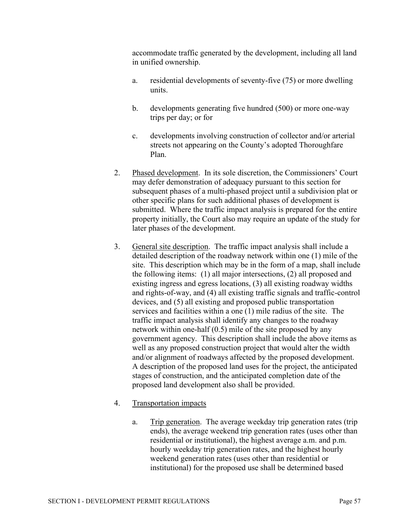accommodate traffic generated by the development, including all land in unified ownership.

- a. residential developments of seventy-five (75) or more dwelling units.
- b. developments generating five hundred (500) or more one-way trips per day; or for
- c. developments involving construction of collector and/or arterial streets not appearing on the County's adopted Thoroughfare Plan.
- 2. Phased development. In its sole discretion, the Commissioners' Court may defer demonstration of adequacy pursuant to this section for subsequent phases of a multi-phased project until a subdivision plat or other specific plans for such additional phases of development is submitted. Where the traffic impact analysis is prepared for the entire property initially, the Court also may require an update of the study for later phases of the development.
- 3. General site description. The traffic impact analysis shall include a detailed description of the roadway network within one (1) mile of the site. This description which may be in the form of a map, shall include the following items: (1) all major intersections, (2) all proposed and existing ingress and egress locations, (3) all existing roadway widths and rights-of-way, and (4) all existing traffic signals and traffic-control devices, and (5) all existing and proposed public transportation services and facilities within a one (1) mile radius of the site. The traffic impact analysis shall identify any changes to the roadway network within one-half (0.5) mile of the site proposed by any government agency. This description shall include the above items as well as any proposed construction project that would alter the width and/or alignment of roadways affected by the proposed development. A description of the proposed land uses for the project, the anticipated stages of construction, and the anticipated completion date of the proposed land development also shall be provided.
- 4. Transportation impacts
	- a. Trip generation. The average weekday trip generation rates (trip ends), the average weekend trip generation rates (uses other than residential or institutional), the highest average a.m. and p.m. hourly weekday trip generation rates, and the highest hourly weekend generation rates (uses other than residential or institutional) for the proposed use shall be determined based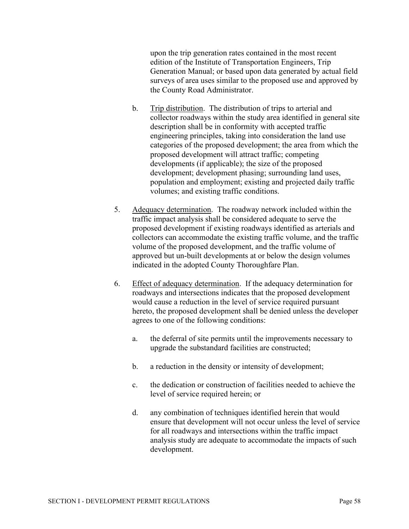upon the trip generation rates contained in the most recent edition of the Institute of Transportation Engineers, Trip Generation Manual; or based upon data generated by actual field surveys of area uses similar to the proposed use and approved by the County Road Administrator.

- b. Trip distribution. The distribution of trips to arterial and collector roadways within the study area identified in general site description shall be in conformity with accepted traffic engineering principles, taking into consideration the land use categories of the proposed development; the area from which the proposed development will attract traffic; competing developments (if applicable); the size of the proposed development; development phasing; surrounding land uses, population and employment; existing and projected daily traffic volumes; and existing traffic conditions.
- 5. Adequacy determination. The roadway network included within the traffic impact analysis shall be considered adequate to serve the proposed development if existing roadways identified as arterials and collectors can accommodate the existing traffic volume, and the traffic volume of the proposed development, and the traffic volume of approved but un-built developments at or below the design volumes indicated in the adopted County Thoroughfare Plan.
- 6. Effect of adequacy determination. If the adequacy determination for roadways and intersections indicates that the proposed development would cause a reduction in the level of service required pursuant hereto, the proposed development shall be denied unless the developer agrees to one of the following conditions:
	- a. the deferral of site permits until the improvements necessary to upgrade the substandard facilities are constructed;
	- b. a reduction in the density or intensity of development;
	- c. the dedication or construction of facilities needed to achieve the level of service required herein; or
	- d. any combination of techniques identified herein that would ensure that development will not occur unless the level of service for all roadways and intersections within the traffic impact analysis study are adequate to accommodate the impacts of such development.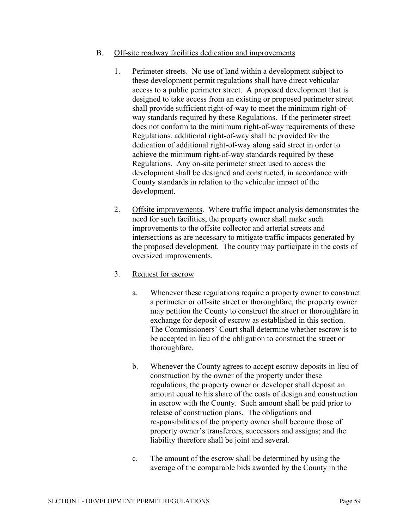## B. Off-site roadway facilities dedication and improvements

- 1. Perimeter streets. No use of land within a development subject to these development permit regulations shall have direct vehicular access to a public perimeter street. A proposed development that is designed to take access from an existing or proposed perimeter street shall provide sufficient right-of-way to meet the minimum right-ofway standards required by these Regulations. If the perimeter street does not conform to the minimum right-of-way requirements of these Regulations, additional right-of-way shall be provided for the dedication of additional right-of-way along said street in order to achieve the minimum right-of-way standards required by these Regulations. Any on-site perimeter street used to access the development shall be designed and constructed, in accordance with County standards in relation to the vehicular impact of the development.
- 2. Offsite improvements. Where traffic impact analysis demonstrates the need for such facilities, the property owner shall make such improvements to the offsite collector and arterial streets and intersections as are necessary to mitigate traffic impacts generated by the proposed development. The county may participate in the costs of oversized improvements.
- 3. Request for escrow
	- a. Whenever these regulations require a property owner to construct a perimeter or off-site street or thoroughfare, the property owner may petition the County to construct the street or thoroughfare in exchange for deposit of escrow as established in this section. The Commissioners' Court shall determine whether escrow is to be accepted in lieu of the obligation to construct the street or thoroughfare.
	- b. Whenever the County agrees to accept escrow deposits in lieu of construction by the owner of the property under these regulations, the property owner or developer shall deposit an amount equal to his share of the costs of design and construction in escrow with the County. Such amount shall be paid prior to release of construction plans. The obligations and responsibilities of the property owner shall become those of property owner's transferees, successors and assigns; and the liability therefore shall be joint and several.
	- c. The amount of the escrow shall be determined by using the average of the comparable bids awarded by the County in the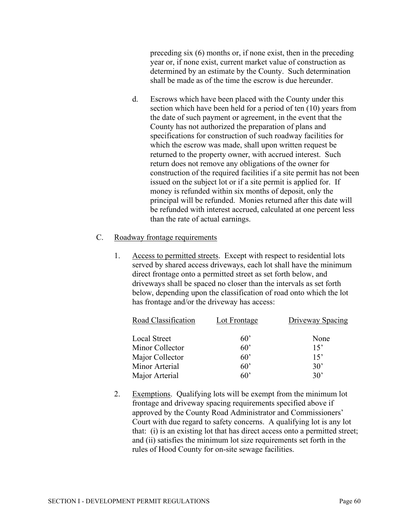preceding six (6) months or, if none exist, then in the preceding year or, if none exist, current market value of construction as determined by an estimate by the County. Such determination shall be made as of the time the escrow is due hereunder.

d. Escrows which have been placed with the County under this section which have been held for a period of ten (10) years from the date of such payment or agreement, in the event that the County has not authorized the preparation of plans and specifications for construction of such roadway facilities for which the escrow was made, shall upon written request be returned to the property owner, with accrued interest. Such return does not remove any obligations of the owner for construction of the required facilities if a site permit has not been issued on the subject lot or if a site permit is applied for. If money is refunded within six months of deposit, only the principal will be refunded. Monies returned after this date will be refunded with interest accrued, calculated at one percent less than the rate of actual earnings.

#### C. Roadway frontage requirements

1. Access to permitted streets. Except with respect to residential lots served by shared access driveways, each lot shall have the minimum direct frontage onto a permitted street as set forth below, and driveways shall be spaced no closer than the intervals as set forth below, depending upon the classification of road onto which the lot has frontage and/or the driveway has access:

| Road Classification | Lot Frontage | Driveway Spacing |
|---------------------|--------------|------------------|
| Local Street        | 60'          | None             |
| Minor Collector     | $60^{\circ}$ | 15'              |
| Major Collector     | $60^{\circ}$ | 15'              |
| Minor Arterial      | 60'          | $30^{\circ}$     |
| Major Arterial      | 60'          | $30^{\circ}$     |

2. Exemptions. Qualifying lots will be exempt from the minimum lot frontage and driveway spacing requirements specified above if approved by the County Road Administrator and Commissioners' Court with due regard to safety concerns. A qualifying lot is any lot that: (i) is an existing lot that has direct access onto a permitted street; and (ii) satisfies the minimum lot size requirements set forth in the rules of Hood County for on-site sewage facilities.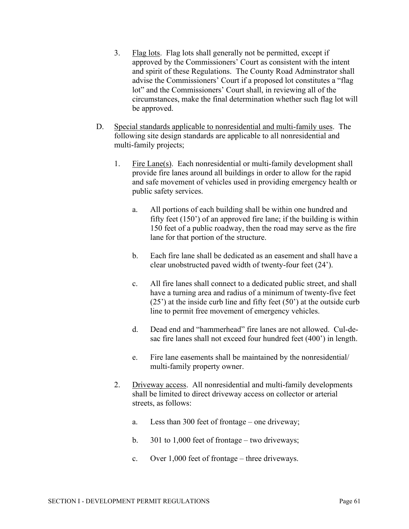- 3. Flag lots. Flag lots shall generally not be permitted, except if approved by the Commissioners' Court as consistent with the intent and spirit of these Regulations. The County Road Adminstrator shall advise the Commissioners' Court if a proposed lot constitutes a "flag lot" and the Commissioners' Court shall, in reviewing all of the circumstances, make the final determination whether such flag lot will be approved.
- D. Special standards applicable to nonresidential and multi-family uses. The following site design standards are applicable to all nonresidential and multi-family projects;
	- 1. Fire Lane(s). Each nonresidential or multi-family development shall provide fire lanes around all buildings in order to allow for the rapid and safe movement of vehicles used in providing emergency health or public safety services.
		- a. All portions of each building shall be within one hundred and fifty feet (150') of an approved fire lane; if the building is within 150 feet of a public roadway, then the road may serve as the fire lane for that portion of the structure.
		- b. Each fire lane shall be dedicated as an easement and shall have a clear unobstructed paved width of twenty-four feet (24').
		- c. All fire lanes shall connect to a dedicated public street, and shall have a turning area and radius of a minimum of twenty-five feet  $(25')$  at the inside curb line and fifty feet  $(50')$  at the outside curb line to permit free movement of emergency vehicles.
		- d. Dead end and "hammerhead" fire lanes are not allowed. Cul-desac fire lanes shall not exceed four hundred feet (400') in length.
		- e. Fire lane easements shall be maintained by the nonresidential/ multi-family property owner.
	- 2. Driveway access. All nonresidential and multi-family developments shall be limited to direct driveway access on collector or arterial streets, as follows:
		- a. Less than 300 feet of frontage one driveway;
		- b. 301 to 1,000 feet of frontage two driveways;
		- c. Over 1,000 feet of frontage three driveways.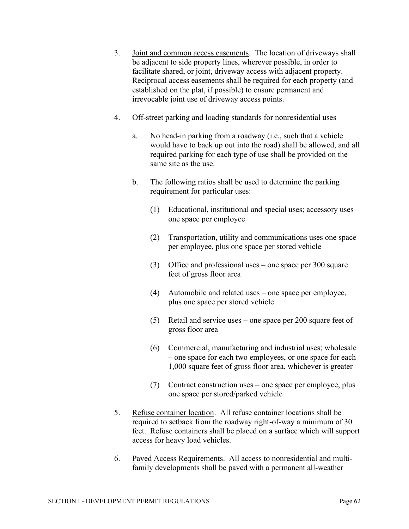- 3. Joint and common access easements. The location of driveways shall be adjacent to side property lines, wherever possible, in order to facilitate shared, or joint, driveway access with adjacent property. Reciprocal access easements shall be required for each property (and established on the plat, if possible) to ensure permanent and irrevocable joint use of driveway access points.
- 4. Off-street parking and loading standards for nonresidential uses
	- a. No head-in parking from a roadway (i.e., such that a vehicle would have to back up out into the road) shall be allowed, and all required parking for each type of use shall be provided on the same site as the use.
	- b. The following ratios shall be used to determine the parking requirement for particular uses:
		- (1) Educational, institutional and special uses; accessory uses one space per employee
		- (2) Transportation, utility and communications uses one space per employee, plus one space per stored vehicle
		- (3) Office and professional uses one space per 300 square feet of gross floor area
		- (4) Automobile and related uses one space per employee, plus one space per stored vehicle
		- (5) Retail and service uses one space per 200 square feet of gross floor area
		- (6) Commercial, manufacturing and industrial uses; wholesale – one space for each two employees, or one space for each 1,000 square feet of gross floor area, whichever is greater
		- (7) Contract construction uses one space per employee, plus one space per stored/parked vehicle
- 5. Refuse container location. All refuse container locations shall be required to setback from the roadway right-of-way a minimum of 30 feet. Refuse containers shall be placed on a surface which will support access for heavy load vehicles.
- 6. Paved Access Requirements. All access to nonresidential and multifamily developments shall be paved with a permanent all-weather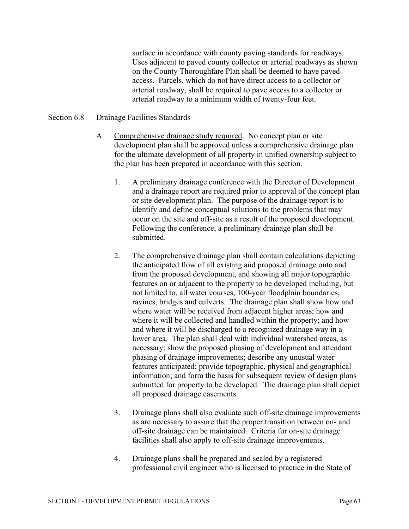surface in accordance with county paving standards for roadways. Uses adjacent to paved county collector or arterial roadways as shown on the County Thoroughfare Plan shall be deemed to have paved access. Parcels, which do not have direct access to a collector or arterial roadway, shall be required to pave access to a collector or arterial roadway to a minimum width of twenty-four feet.

#### Section 6.8 Drainage Facilities Standards

- A. Comprehensive drainage study required. No concept plan or site development plan shall be approved unless a comprehensive drainage plan for the ultimate development of all property in unified ownership subject to the plan has been prepared in accordance with this section.
	- 1. A preliminary drainage conference with the Director of Development and a drainage report are required prior to approval of the concept plan or site development plan. The purpose of the drainage report is to identify and define conceptual solutions to the problems that may occur on the site and off-site as a result of the proposed development. Following the conference, a preliminary drainage plan shall be submitted.
	- 2. The comprehensive drainage plan shall contain calculations depicting the anticipated flow of all existing and proposed drainage onto and from the proposed development, and showing all major topographic features on or adjacent to the property to be developed including, but not limited to, all water courses, 100-year floodplain boundaries, ravines, bridges and culverts. The drainage plan shall show how and where water will be received from adjacent higher areas; how and where it will be collected and handled within the property; and how and where it will be discharged to a recognized drainage way in a lower area. The plan shall deal with individual watershed areas, as necessary; show the proposed phasing of development and attendant phasing of drainage improvements; describe any unusual water features anticipated; provide topographic, physical and geographical information; and form the basis for subsequent review of design plans submitted for property to be developed. The drainage plan shall depict all proposed drainage easements.
	- 3. Drainage plans shall also evaluate such off-site drainage improvements as are necessary to assure that the proper transition between on- and off-site drainage can be maintained. Criteria for on-site drainage facilities shall also apply to off-site drainage improvements.
	- 4. Drainage plans shall be prepared and sealed by a registered professional civil engineer who is licensed to practice in the State of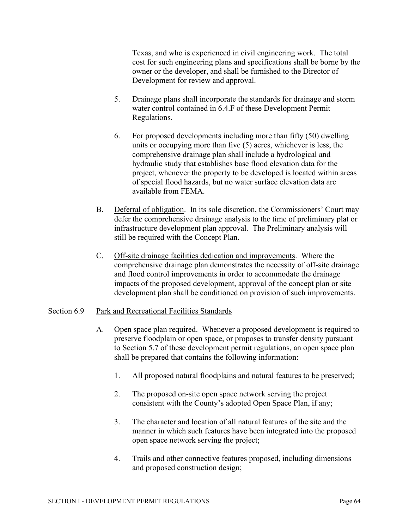Texas, and who is experienced in civil engineering work. The total cost for such engineering plans and specifications shall be borne by the owner or the developer, and shall be furnished to the Director of Development for review and approval.

- 5. Drainage plans shall incorporate the standards for drainage and storm water control contained in 6.4.F of these Development Permit Regulations.
- 6. For proposed developments including more than fifty (50) dwelling units or occupying more than five (5) acres, whichever is less, the comprehensive drainage plan shall include a hydrological and hydraulic study that establishes base flood elevation data for the project, whenever the property to be developed is located within areas of special flood hazards, but no water surface elevation data are available from FEMA.
- B. Deferral of obligation. In its sole discretion, the Commissioners' Court may defer the comprehensive drainage analysis to the time of preliminary plat or infrastructure development plan approval. The Preliminary analysis will still be required with the Concept Plan.
- C. Off-site drainage facilities dedication and improvements. Where the comprehensive drainage plan demonstrates the necessity of off-site drainage and flood control improvements in order to accommodate the drainage impacts of the proposed development, approval of the concept plan or site development plan shall be conditioned on provision of such improvements.

## Section 6.9 Park and Recreational Facilities Standards

- A. Open space plan required. Whenever a proposed development is required to preserve floodplain or open space, or proposes to transfer density pursuant to Section 5.7 of these development permit regulations, an open space plan shall be prepared that contains the following information:
	- 1. All proposed natural floodplains and natural features to be preserved;
	- 2. The proposed on-site open space network serving the project consistent with the County's adopted Open Space Plan, if any;
	- 3. The character and location of all natural features of the site and the manner in which such features have been integrated into the proposed open space network serving the project;
	- 4. Trails and other connective features proposed, including dimensions and proposed construction design;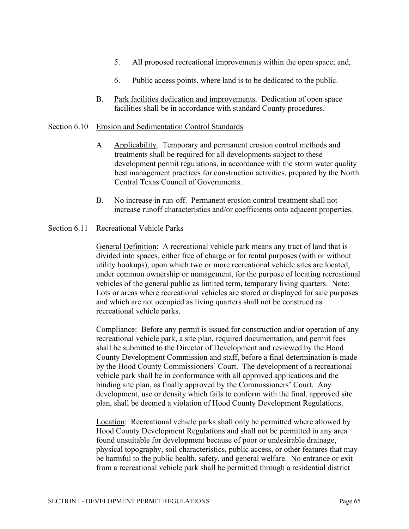- 5. All proposed recreational improvements within the open space; and,
- 6. Public access points, where land is to be dedicated to the public.
- B. Park facilities dedication and improvements. Dedication of open space facilities shall be in accordance with standard County procedures.

#### Section 6.10 Erosion and Sedimentation Control Standards

- A. Applicability. Temporary and permanent erosion control methods and treatments shall be required for all developments subject to these development permit regulations, in accordance with the storm water quality best management practices for construction activities, prepared by the North Central Texas Council of Governments.
- B. No increase in run-off. Permanent erosion control treatment shall not increase runoff characteristics and/or coefficients onto adjacent properties.

#### Section 6.11 Recreational Vehicle Parks

General Definition: A recreational vehicle park means any tract of land that is divided into spaces, either free of charge or for rental purposes (with or without utility hookups), upon which two or more recreational vehicle sites are located, under common ownership or management, for the purpose of locating recreational vehicles of the general public as limited term, temporary living quarters. Note: Lots or areas where recreational vehicles are stored or displayed for sale purposes and which are not occupied as living quarters shall not be construed as recreational vehicle parks.

Compliance: Before any permit is issued for construction and/or operation of any recreational vehicle park, a site plan, required documentation, and permit fees shall be submitted to the Director of Development and reviewed by the Hood County Development Commission and staff, before a final determination is made by the Hood County Commissioners' Court. The development of a recreational vehicle park shall be in conformance with all approved applications and the binding site plan, as finally approved by the Commissioners' Court. Any development, use or density which fails to conform with the final, approved site plan, shall be deemed a violation of Hood County Development Regulations.

Location: Recreational vehicle parks shall only be permitted where allowed by Hood County Development Regulations and shall not be permitted in any area found unsuitable for development because of poor or undesirable drainage, physical topography, soil characteristics, public access, or other features that may be harmful to the public health, safety, and general welfare. No entrance or exit from a recreational vehicle park shall be permitted through a residential district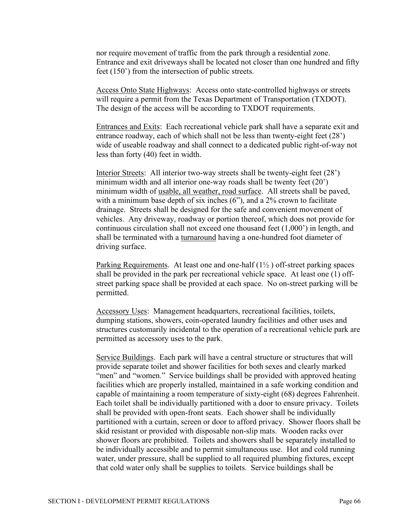nor require movement of traffic from the park through a residential zone. Entrance and exit driveways shall be located not closer than one hundred and fifty feet (150') from the intersection of public streets.

Access Onto State Highways: Access onto state-controlled highways or streets will require a permit from the Texas Department of Transportation (TXDOT). The design of the access will be according to TXDOT requirements.

Entrances and Exits: Each recreational vehicle park shall have a separate exit and entrance roadway, each of which shall not be less than twenty-eight feet (28') wide of useable roadway and shall connect to a dedicated public right-of-way not less than forty (40) feet in width.

Interior Streets: All interior two-way streets shall be twenty-eight feet (28') minimum width and all interior one-way roads shall be twenty feet (20') minimum width of usable, all weather, road surface. All streets shall be paved, with a minimum base depth of six inches (6"), and a 2% crown to facilitate drainage. Streets shall be designed for the safe and convenient movement of vehicles. Any driveway, roadway or portion thereof, which does not provide for continuous circulation shall not exceed one thousand feet (1,000') in length, and shall be terminated with a turnaround having a one-hundred foot diameter of driving surface.

Parking Requirements. At least one and one-half  $(1\frac{1}{2})$  off-street parking spaces shall be provided in the park per recreational vehicle space. At least one (1) offstreet parking space shall be provided at each space. No on-street parking will be permitted.

Accessory Uses: Management headquarters, recreational facilities, toilets, dumping stations, showers, coin-operated laundry facilities and other uses and structures customarily incidental to the operation of a recreational vehicle park are permitted as accessory uses to the park.

Service Buildings. Each park will have a central structure or structures that will provide separate toilet and shower facilities for both sexes and clearly marked "men" and "women." Service buildings shall be provided with approved heating facilities which are properly installed, maintained in a safe working condition and capable of maintaining a room temperature of sixty-eight (68) degrees Fahrenheit. Each toilet shall be individually partitioned with a door to ensure privacy. Toilets shall be provided with open-front seats. Each shower shall be individually partitioned with a curtain, screen or door to afford privacy. Shower floors shall be skid resistant or provided with disposable non-slip mats. Wooden racks over shower floors are prohibited. Toilets and showers shall be separately installed to be individually accessible and to permit simultaneous use. Hot and cold running water, under pressure, shall be supplied to all required plumbing fixtures, except that cold water only shall be supplies to toilets. Service buildings shall be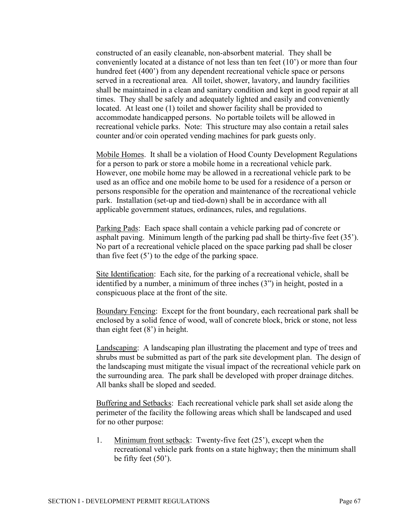constructed of an easily cleanable, non-absorbent material. They shall be conveniently located at a distance of not less than ten feet (10') or more than four hundred feet (400') from any dependent recreational vehicle space or persons served in a recreational area. All toilet, shower, lavatory, and laundry facilities shall be maintained in a clean and sanitary condition and kept in good repair at all times. They shall be safely and adequately lighted and easily and conveniently located. At least one (1) toilet and shower facility shall be provided to accommodate handicapped persons. No portable toilets will be allowed in recreational vehicle parks. Note: This structure may also contain a retail sales counter and/or coin operated vending machines for park guests only.

Mobile Homes. It shall be a violation of Hood County Development Regulations for a person to park or store a mobile home in a recreational vehicle park. However, one mobile home may be allowed in a recreational vehicle park to be used as an office and one mobile home to be used for a residence of a person or persons responsible for the operation and maintenance of the recreational vehicle park. Installation (set-up and tied-down) shall be in accordance with all applicable government statues, ordinances, rules, and regulations.

Parking Pads: Each space shall contain a vehicle parking pad of concrete or asphalt paving. Minimum length of the parking pad shall be thirty-five feet (35'). No part of a recreational vehicle placed on the space parking pad shall be closer than five feet  $(5')$  to the edge of the parking space.

Site Identification: Each site, for the parking of a recreational vehicle, shall be identified by a number, a minimum of three inches (3") in height, posted in a conspicuous place at the front of the site.

Boundary Fencing: Except for the front boundary, each recreational park shall be enclosed by a solid fence of wood, wall of concrete block, brick or stone, not less than eight feet (8') in height.

Landscaping: A landscaping plan illustrating the placement and type of trees and shrubs must be submitted as part of the park site development plan. The design of the landscaping must mitigate the visual impact of the recreational vehicle park on the surrounding area. The park shall be developed with proper drainage ditches. All banks shall be sloped and seeded.

Buffering and Setbacks: Each recreational vehicle park shall set aside along the perimeter of the facility the following areas which shall be landscaped and used for no other purpose:

1. Minimum front setback: Twenty-five feet (25'), except when the recreational vehicle park fronts on a state highway; then the minimum shall be fifty feet (50').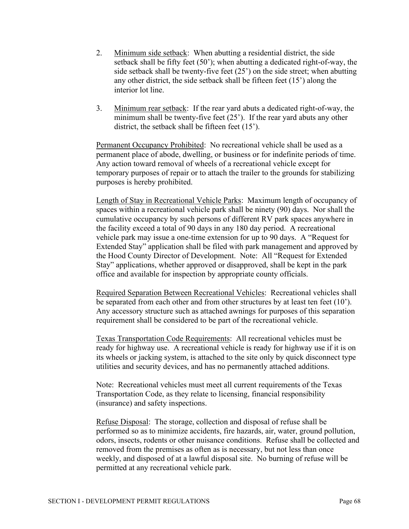- 2. Minimum side setback: When abutting a residential district, the side setback shall be fifty feet (50'); when abutting a dedicated right-of-way, the side setback shall be twenty-five feet (25') on the side street; when abutting any other district, the side setback shall be fifteen feet (15') along the interior lot line.
- 3. Minimum rear setback: If the rear yard abuts a dedicated right-of-way, the minimum shall be twenty-five feet (25'). If the rear yard abuts any other district, the setback shall be fifteen feet (15').

Permanent Occupancy Prohibited: No recreational vehicle shall be used as a permanent place of abode, dwelling, or business or for indefinite periods of time. Any action toward removal of wheels of a recreational vehicle except for temporary purposes of repair or to attach the trailer to the grounds for stabilizing purposes is hereby prohibited.

Length of Stay in Recreational Vehicle Parks: Maximum length of occupancy of spaces within a recreational vehicle park shall be ninety (90) days. Nor shall the cumulative occupancy by such persons of different RV park spaces anywhere in the facility exceed a total of 90 days in any 180 day period. A recreational vehicle park may issue a one-time extension for up to 90 days. A "Request for Extended Stay" application shall be filed with park management and approved by the Hood County Director of Development. Note: All "Request for Extended Stay" applications, whether approved or disapproved, shall be kept in the park office and available for inspection by appropriate county officials.

Required Separation Between Recreational Vehicles: Recreational vehicles shall be separated from each other and from other structures by at least ten feet (10'). Any accessory structure such as attached awnings for purposes of this separation requirement shall be considered to be part of the recreational vehicle.

Texas Transportation Code Requirements: All recreational vehicles must be ready for highway use. A recreational vehicle is ready for highway use if it is on its wheels or jacking system, is attached to the site only by quick disconnect type utilities and security devices, and has no permanently attached additions.

Note: Recreational vehicles must meet all current requirements of the Texas Transportation Code, as they relate to licensing, financial responsibility (insurance) and safety inspections.

Refuse Disposal: The storage, collection and disposal of refuse shall be performed so as to minimize accidents, fire hazards, air, water, ground pollution, odors, insects, rodents or other nuisance conditions. Refuse shall be collected and removed from the premises as often as is necessary, but not less than once weekly, and disposed of at a lawful disposal site. No burning of refuse will be permitted at any recreational vehicle park.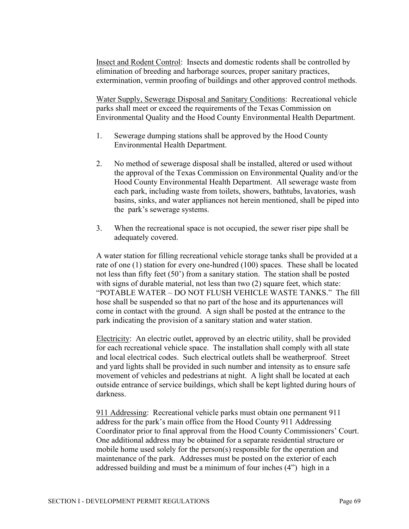Insect and Rodent Control: Insects and domestic rodents shall be controlled by elimination of breeding and harborage sources, proper sanitary practices, extermination, vermin proofing of buildings and other approved control methods.

Water Supply, Sewerage Disposal and Sanitary Conditions: Recreational vehicle parks shall meet or exceed the requirements of the Texas Commission on Environmental Quality and the Hood County Environmental Health Department.

- 1. Sewerage dumping stations shall be approved by the Hood County Environmental Health Department.
- 2. No method of sewerage disposal shall be installed, altered or used without the approval of the Texas Commission on Environmental Quality and/or the Hood County Environmental Health Department. All sewerage waste from each park, including waste from toilets, showers, bathtubs, lavatories, wash basins, sinks, and water appliances not herein mentioned, shall be piped into the park's sewerage systems.
- 3. When the recreational space is not occupied, the sewer riser pipe shall be adequately covered.

A water station for filling recreational vehicle storage tanks shall be provided at a rate of one (1) station for every one-hundred (100) spaces. These shall be located not less than fifty feet (50') from a sanitary station. The station shall be posted with signs of durable material, not less than two (2) square feet, which state: "POTABLE WATER – DO NOT FLUSH VEHICLE WASTE TANKS." The fill hose shall be suspended so that no part of the hose and its appurtenances will come in contact with the ground. A sign shall be posted at the entrance to the park indicating the provision of a sanitary station and water station.

Electricity: An electric outlet, approved by an electric utility, shall be provided for each recreational vehicle space. The installation shall comply with all state and local electrical codes. Such electrical outlets shall be weatherproof. Street and yard lights shall be provided in such number and intensity as to ensure safe movement of vehicles and pedestrians at night. A light shall be located at each outside entrance of service buildings, which shall be kept lighted during hours of darkness.

911 Addressing: Recreational vehicle parks must obtain one permanent 911 address for the park's main office from the Hood County 911 Addressing Coordinator prior to final approval from the Hood County Commissioners' Court. One additional address may be obtained for a separate residential structure or mobile home used solely for the person(s) responsible for the operation and maintenance of the park. Addresses must be posted on the exterior of each addressed building and must be a minimum of four inches (4") high in a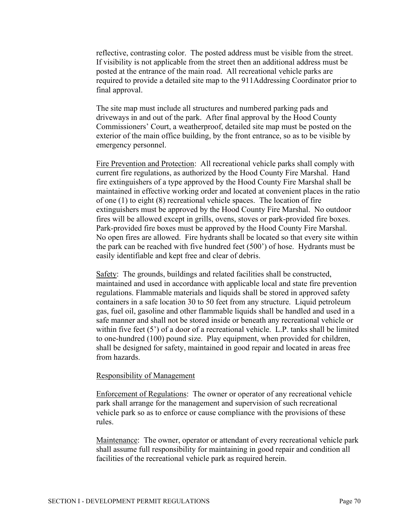reflective, contrasting color. The posted address must be visible from the street. If visibility is not applicable from the street then an additional address must be posted at the entrance of the main road. All recreational vehicle parks are required to provide a detailed site map to the 911Addressing Coordinator prior to final approval.

The site map must include all structures and numbered parking pads and driveways in and out of the park. After final approval by the Hood County Commissioners' Court, a weatherproof, detailed site map must be posted on the exterior of the main office building, by the front entrance, so as to be visible by emergency personnel.

Fire Prevention and Protection: All recreational vehicle parks shall comply with current fire regulations, as authorized by the Hood County Fire Marshal. Hand fire extinguishers of a type approved by the Hood County Fire Marshal shall be maintained in effective working order and located at convenient places in the ratio of one (1) to eight (8) recreational vehicle spaces. The location of fire extinguishers must be approved by the Hood County Fire Marshal. No outdoor fires will be allowed except in grills, ovens, stoves or park-provided fire boxes. Park-provided fire boxes must be approved by the Hood County Fire Marshal. No open fires are allowed. Fire hydrants shall be located so that every site within the park can be reached with five hundred feet (500') of hose. Hydrants must be easily identifiable and kept free and clear of debris.

Safety: The grounds, buildings and related facilities shall be constructed, maintained and used in accordance with applicable local and state fire prevention regulations. Flammable materials and liquids shall be stored in approved safety containers in a safe location 30 to 50 feet from any structure. Liquid petroleum gas, fuel oil, gasoline and other flammable liquids shall be handled and used in a safe manner and shall not be stored inside or beneath any recreational vehicle or within five feet (5<sup>o</sup>) of a door of a recreational vehicle. L.P. tanks shall be limited to one-hundred (100) pound size. Play equipment, when provided for children, shall be designed for safety, maintained in good repair and located in areas free from hazards.

#### Responsibility of Management

Enforcement of Regulations: The owner or operator of any recreational vehicle park shall arrange for the management and supervision of such recreational vehicle park so as to enforce or cause compliance with the provisions of these rules.

Maintenance: The owner, operator or attendant of every recreational vehicle park shall assume full responsibility for maintaining in good repair and condition all facilities of the recreational vehicle park as required herein.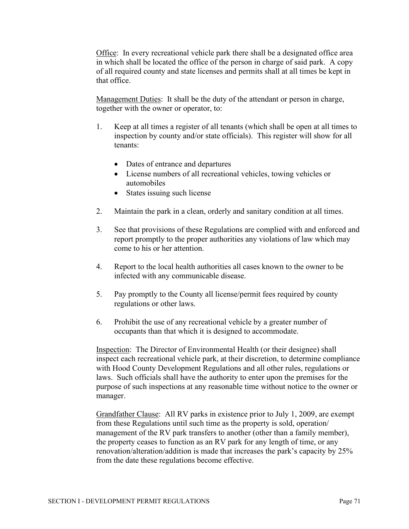Office: In every recreational vehicle park there shall be a designated office area in which shall be located the office of the person in charge of said park. A copy of all required county and state licenses and permits shall at all times be kept in that office.

Management Duties: It shall be the duty of the attendant or person in charge, together with the owner or operator, to:

- 1. Keep at all times a register of all tenants (which shall be open at all times to inspection by county and/or state officials). This register will show for all tenants:
	- Dates of entrance and departures
	- License numbers of all recreational vehicles, towing vehicles or automobiles
	- States issuing such license
- 2. Maintain the park in a clean, orderly and sanitary condition at all times.
- 3. See that provisions of these Regulations are complied with and enforced and report promptly to the proper authorities any violations of law which may come to his or her attention.
- 4. Report to the local health authorities all cases known to the owner to be infected with any communicable disease.
- 5. Pay promptly to the County all license/permit fees required by county regulations or other laws.
- 6. Prohibit the use of any recreational vehicle by a greater number of occupants than that which it is designed to accommodate.

Inspection: The Director of Environmental Health (or their designee) shall inspect each recreational vehicle park, at their discretion, to determine compliance with Hood County Development Regulations and all other rules, regulations or laws. Such officials shall have the authority to enter upon the premises for the purpose of such inspections at any reasonable time without notice to the owner or manager.

Grandfather Clause: All RV parks in existence prior to July 1, 2009, are exempt from these Regulations until such time as the property is sold, operation/ management of the RV park transfers to another (other than a family member), the property ceases to function as an RV park for any length of time, or any renovation/alteration/addition is made that increases the park's capacity by 25% from the date these regulations become effective.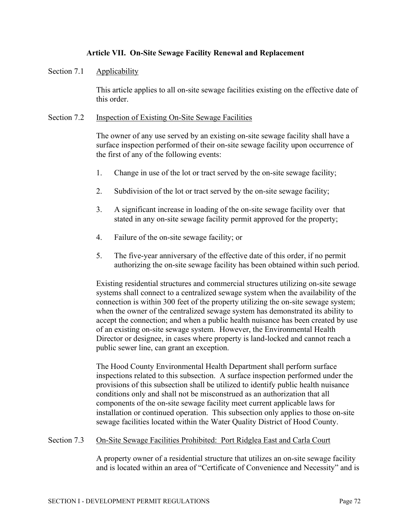# **Article VII. On-Site Sewage Facility Renewal and Replacement**

#### Section 7.1 Applicability

This article applies to all on-site sewage facilities existing on the effective date of this order.

#### Section 7.2 Inspection of Existing On-Site Sewage Facilities

The owner of any use served by an existing on-site sewage facility shall have a surface inspection performed of their on-site sewage facility upon occurrence of the first of any of the following events:

- 1. Change in use of the lot or tract served by the on-site sewage facility;
- 2. Subdivision of the lot or tract served by the on-site sewage facility;
- 3. A significant increase in loading of the on-site sewage facility over that stated in any on-site sewage facility permit approved for the property;
- 4. Failure of the on-site sewage facility; or
- 5. The five-year anniversary of the effective date of this order, if no permit authorizing the on-site sewage facility has been obtained within such period.

Existing residential structures and commercial structures utilizing on-site sewage systems shall connect to a centralized sewage system when the availability of the connection is within 300 feet of the property utilizing the on-site sewage system; when the owner of the centralized sewage system has demonstrated its ability to accept the connection; and when a public health nuisance has been created by use of an existing on-site sewage system. However, the Environmental Health Director or designee, in cases where property is land-locked and cannot reach a public sewer line, can grant an exception.

The Hood County Environmental Health Department shall perform surface inspections related to this subsection. A surface inspection performed under the provisions of this subsection shall be utilized to identify public health nuisance conditions only and shall not be misconstrued as an authorization that all components of the on-site sewage facility meet current applicable laws for installation or continued operation. This subsection only applies to those on-site sewage facilities located within the Water Quality District of Hood County.

#### Section 7.3 On-Site Sewage Facilities Prohibited: Port Ridglea East and Carla Court

A property owner of a residential structure that utilizes an on-site sewage facility and is located within an area of "Certificate of Convenience and Necessity" and is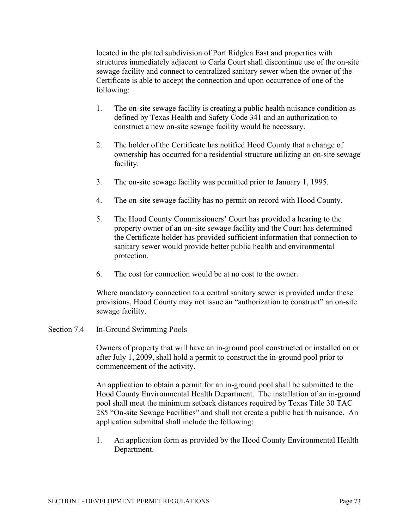located in the platted subdivision of Port Ridglea East and properties with structures immediately adjacent to Carla Court shall discontinue use of the on-site sewage facility and connect to centralized sanitary sewer when the owner of the Certificate is able to accept the connection and upon occurrence of one of the following:

- 1. The on-site sewage facility is creating a public health nuisance condition as defined by Texas Health and Safety Code 341 and an authorization to construct a new on-site sewage facility would be necessary.
- 2. The holder of the Certificate has notified Hood County that a change of ownership has occurred for a residential structure utilizing an on-site sewage facility.
- 3. The on-site sewage facility was permitted prior to January 1, 1995.
- 4. The on-site sewage facility has no permit on record with Hood County.
- 5. The Hood County Commissioners' Court has provided a hearing to the property owner of an on-site sewage facility and the Court has determined the Certificate holder has provided sufficient information that connection to sanitary sewer would provide better public health and environmental protection.
- 6. The cost for connection would be at no cost to the owner.

Where mandatory connection to a central sanitary sewer is provided under these provisions, Hood County may not issue an "authorization to construct" an on-site sewage facility.

# Section 7.4 In-Ground Swimming Pools

Owners of property that will have an in-ground pool constructed or installed on or after July 1, 2009, shall hold a permit to construct the in-ground pool prior to commencement of the activity.

An application to obtain a permit for an in-ground pool shall be submitted to the Hood County Environmental Health Department. The installation of an in-ground pool shall meet the minimum setback distances required by Texas Title 30 TAC 285 "On-site Sewage Facilities" and shall not create a public health nuisance. An application submittal shall include the following:

1. An application form as provided by the Hood County Environmental Health Department.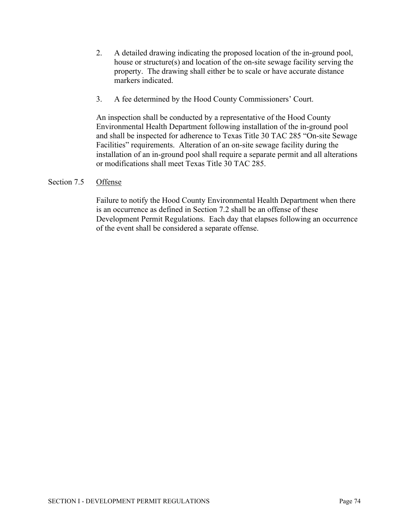- 2. A detailed drawing indicating the proposed location of the in-ground pool, house or structure(s) and location of the on-site sewage facility serving the property. The drawing shall either be to scale or have accurate distance markers indicated.
- 3. A fee determined by the Hood County Commissioners' Court.

An inspection shall be conducted by a representative of the Hood County Environmental Health Department following installation of the in-ground pool and shall be inspected for adherence to Texas Title 30 TAC 285 "On-site Sewage Facilities" requirements. Alteration of an on-site sewage facility during the installation of an in-ground pool shall require a separate permit and all alterations or modifications shall meet Texas Title 30 TAC 285.

# Section 7.5 Offense

Failure to notify the Hood County Environmental Health Department when there is an occurrence as defined in Section 7.2 shall be an offense of these Development Permit Regulations. Each day that elapses following an occurrence of the event shall be considered a separate offense.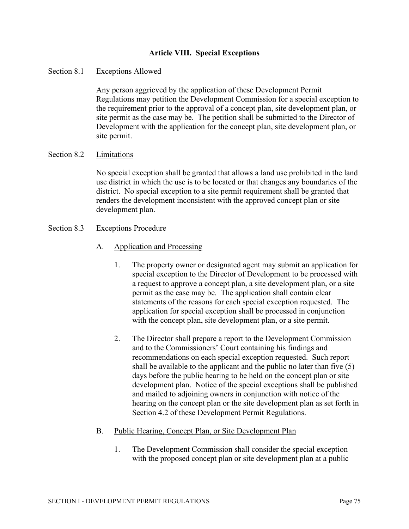# **Article VIII. Special Exceptions**

#### Section 8.1 Exceptions Allowed

Any person aggrieved by the application of these Development Permit Regulations may petition the Development Commission for a special exception to the requirement prior to the approval of a concept plan, site development plan, or site permit as the case may be. The petition shall be submitted to the Director of Development with the application for the concept plan, site development plan, or site permit.

#### Section 8.2 Limitations

No special exception shall be granted that allows a land use prohibited in the land use district in which the use is to be located or that changes any boundaries of the district. No special exception to a site permit requirement shall be granted that renders the development inconsistent with the approved concept plan or site development plan.

#### Section 8.3 Exceptions Procedure

- A. Application and Processing
	- 1. The property owner or designated agent may submit an application for special exception to the Director of Development to be processed with a request to approve a concept plan, a site development plan, or a site permit as the case may be. The application shall contain clear statements of the reasons for each special exception requested. The application for special exception shall be processed in conjunction with the concept plan, site development plan, or a site permit.
	- 2. The Director shall prepare a report to the Development Commission and to the Commissioners' Court containing his findings and recommendations on each special exception requested. Such report shall be available to the applicant and the public no later than five (5) days before the public hearing to be held on the concept plan or site development plan. Notice of the special exceptions shall be published and mailed to adjoining owners in conjunction with notice of the hearing on the concept plan or the site development plan as set forth in Section 4.2 of these Development Permit Regulations.

#### B. Public Hearing, Concept Plan, or Site Development Plan

1. The Development Commission shall consider the special exception with the proposed concept plan or site development plan at a public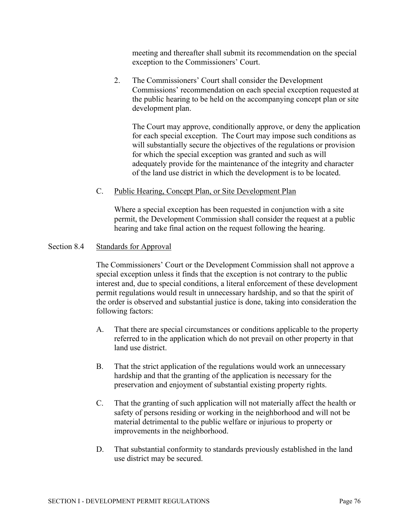meeting and thereafter shall submit its recommendation on the special exception to the Commissioners' Court.

2. The Commissioners' Court shall consider the Development Commissions' recommendation on each special exception requested at the public hearing to be held on the accompanying concept plan or site development plan.

The Court may approve, conditionally approve, or deny the application for each special exception. The Court may impose such conditions as will substantially secure the objectives of the regulations or provision for which the special exception was granted and such as will adequately provide for the maintenance of the integrity and character of the land use district in which the development is to be located.

# C. Public Hearing, Concept Plan, or Site Development Plan

Where a special exception has been requested in conjunction with a site permit, the Development Commission shall consider the request at a public hearing and take final action on the request following the hearing.

#### Section 8.4 Standards for Approval

The Commissioners' Court or the Development Commission shall not approve a special exception unless it finds that the exception is not contrary to the public interest and, due to special conditions, a literal enforcement of these development permit regulations would result in unnecessary hardship, and so that the spirit of the order is observed and substantial justice is done, taking into consideration the following factors:

- A. That there are special circumstances or conditions applicable to the property referred to in the application which do not prevail on other property in that land use district.
- B. That the strict application of the regulations would work an unnecessary hardship and that the granting of the application is necessary for the preservation and enjoyment of substantial existing property rights.
- C. That the granting of such application will not materially affect the health or safety of persons residing or working in the neighborhood and will not be material detrimental to the public welfare or injurious to property or improvements in the neighborhood.
- D. That substantial conformity to standards previously established in the land use district may be secured.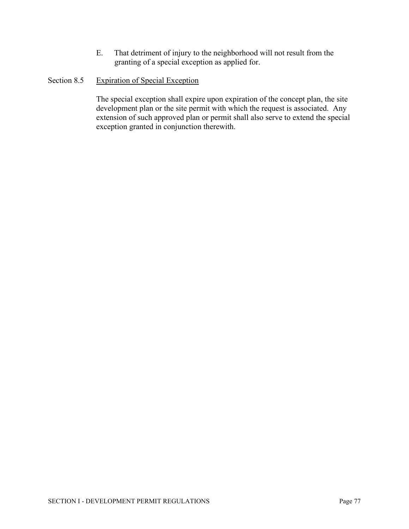E. That detriment of injury to the neighborhood will not result from the granting of a special exception as applied for.

# Section 8.5 Expiration of Special Exception

The special exception shall expire upon expiration of the concept plan, the site development plan or the site permit with which the request is associated. Any extension of such approved plan or permit shall also serve to extend the special exception granted in conjunction therewith.